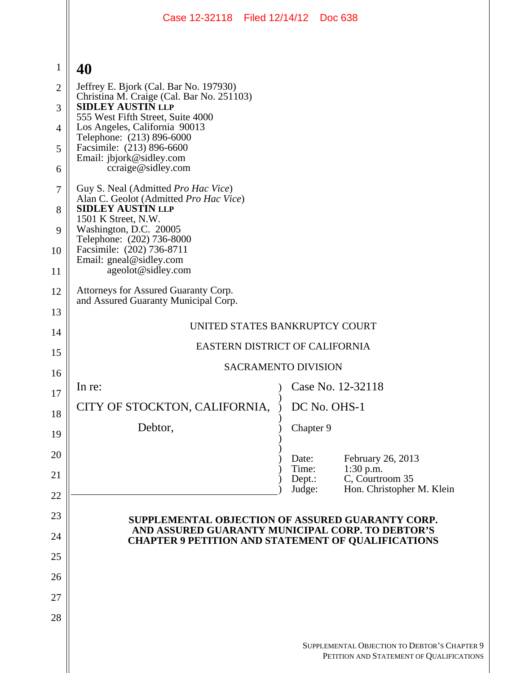|                | Case 12-32118 Filed 12/14/12 Doc 638                                                                          |                 |                                                                                          |  |  |  |
|----------------|---------------------------------------------------------------------------------------------------------------|-----------------|------------------------------------------------------------------------------------------|--|--|--|
|                |                                                                                                               |                 |                                                                                          |  |  |  |
| $\mathbf{1}$   | 40                                                                                                            |                 |                                                                                          |  |  |  |
| $\overline{2}$ | Jeffrey E. Bjork (Cal. Bar No. 197930)<br>Christina M. Craige (Cal. Bar No. 251103)                           |                 |                                                                                          |  |  |  |
| 3              | <b>SIDLEY AUSTIN LLP</b><br>555 West Fifth Street, Suite 4000                                                 |                 |                                                                                          |  |  |  |
| 4              | Los Angeles, California 90013<br>Telephone: (213) 896-6000                                                    |                 |                                                                                          |  |  |  |
| 5              | Facsimile: (213) 896-6600<br>Email: jbjork@sidley.com                                                         |                 |                                                                                          |  |  |  |
| 6              | ccraige@sidley.com                                                                                            |                 |                                                                                          |  |  |  |
| $\overline{7}$ | Guy S. Neal (Admitted Pro Hac Vice)<br>Alan C. Geolot (Admitted Pro Hac Vice)                                 |                 |                                                                                          |  |  |  |
| 8              | <b>SIDLEY AUSTIN LLP</b><br>1501 K Street, N.W.                                                               |                 |                                                                                          |  |  |  |
| 9              | Washington, D.C. 20005<br>Telephone: (202) 736-8000                                                           |                 |                                                                                          |  |  |  |
| 10             | Facsimile: (202) 736-8711<br>Email: gneal@sidley.com                                                          |                 |                                                                                          |  |  |  |
| 11             | ageolot@sidley.com                                                                                            |                 |                                                                                          |  |  |  |
| 12             | Attorneys for Assured Guaranty Corp.<br>and Assured Guaranty Municipal Corp.                                  |                 |                                                                                          |  |  |  |
| 13<br>14       | UNITED STATES BANKRUPTCY COURT                                                                                |                 |                                                                                          |  |  |  |
| 15             | EASTERN DISTRICT OF CALIFORNIA                                                                                |                 |                                                                                          |  |  |  |
| 16             | <b>SACRAMENTO DIVISION</b>                                                                                    |                 |                                                                                          |  |  |  |
| 17             | In re:                                                                                                        |                 | Case No. 12-32118                                                                        |  |  |  |
| 18             | CITY OF STOCKTON, CALIFORNIA,                                                                                 |                 | DC No. OHS-1                                                                             |  |  |  |
| 19             | Debtor,                                                                                                       | Chapter 9       |                                                                                          |  |  |  |
| 20             |                                                                                                               | Date:           | February 26, 2013                                                                        |  |  |  |
| 21             |                                                                                                               | Time:<br>Dept.: | 1:30 p.m.<br>C, Courtroom 35                                                             |  |  |  |
| 22             |                                                                                                               | Judge:          | Hon. Christopher M. Klein                                                                |  |  |  |
| 23             | SUPPLEMENTAL OBJECTION OF ASSURED GUARANTY CORP.                                                              |                 |                                                                                          |  |  |  |
| 24             | AND ASSURED GUARANTY MUNICIPAL CORP. TO DEBTOR'S<br><b>CHAPTER 9 PETITION AND STATEMENT OF QUALIFICATIONS</b> |                 |                                                                                          |  |  |  |
| 25             |                                                                                                               |                 |                                                                                          |  |  |  |
| 26             |                                                                                                               |                 |                                                                                          |  |  |  |
| 27             |                                                                                                               |                 |                                                                                          |  |  |  |
| 28             |                                                                                                               |                 |                                                                                          |  |  |  |
|                |                                                                                                               |                 | SUPPLEMENTAL OBJECTION TO DEBTOR'S CHAPTER 9<br>PETITION AND STATEMENT OF QUALIFICATIONS |  |  |  |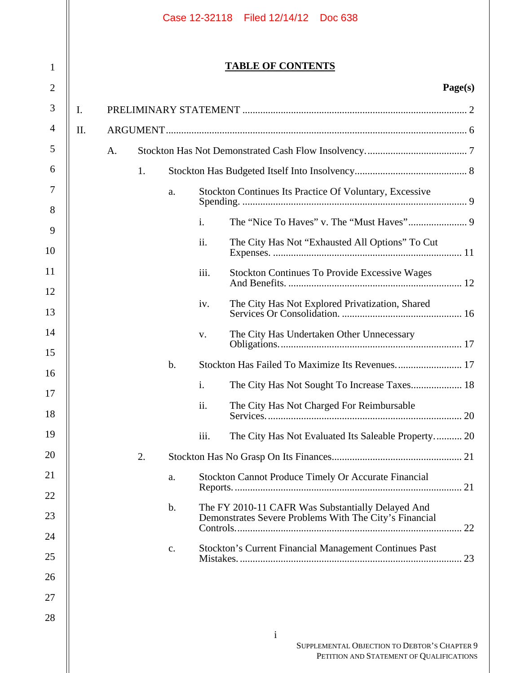| Case 12-32118 | Filed 12/14/12 | <b>Doc 638</b> |
|---------------|----------------|----------------|
|               |                |                |

1

2

# **TABLE OF CONTENTS**

# **Page(s)**

PETITION AND STATEMENT OF QUALIFICATIONS

| 3              | I. |    |    |       |                                                                                                             |  |
|----------------|----|----|----|-------|-------------------------------------------------------------------------------------------------------------|--|
| $\overline{4}$ | Π. |    |    |       |                                                                                                             |  |
| 5              |    | A. |    |       |                                                                                                             |  |
| 6              |    |    | 1. |       |                                                                                                             |  |
| 7              |    |    |    | a.    | Stockton Continues Its Practice Of Voluntary, Excessive                                                     |  |
| 8              |    |    |    |       | $\mathbf{i}$ .                                                                                              |  |
| 9              |    |    |    |       | ii.                                                                                                         |  |
| 10             |    |    |    |       | The City Has Not "Exhausted All Options" To Cut                                                             |  |
| 11<br>12       |    |    |    |       | iii.<br><b>Stockton Continues To Provide Excessive Wages</b>                                                |  |
| 13             |    |    |    |       | The City Has Not Explored Privatization, Shared<br>iv.                                                      |  |
| 14             |    |    |    |       | The City Has Undertaken Other Unnecessary<br>V.                                                             |  |
| 15             |    |    |    | b.    | Stockton Has Failed To Maximize Its Revenues 17                                                             |  |
| 16             |    |    |    |       |                                                                                                             |  |
| 17             |    |    |    |       | $\mathbf{i}$ .                                                                                              |  |
| 18             |    |    |    |       | ii.<br>The City Has Not Charged For Reimbursable                                                            |  |
| 19             |    |    |    |       | iii.<br>The City Has Not Evaluated Its Saleable Property 20                                                 |  |
| 20             |    |    | 2. |       |                                                                                                             |  |
| 21             |    |    |    | a.    | <b>Stockton Cannot Produce Timely Or Accurate Financial</b>                                                 |  |
| 22             |    |    |    | $b$ . |                                                                                                             |  |
| 23             |    |    |    |       | The FY 2010-11 CAFR Was Substantially Delayed And<br>Demonstrates Severe Problems With The City's Financial |  |
| 24             |    |    |    |       |                                                                                                             |  |
| 25             |    |    |    | c.    | Stockton's Current Financial Management Continues Past                                                      |  |
| 26             |    |    |    |       |                                                                                                             |  |
| 27             |    |    |    |       |                                                                                                             |  |
| 28             |    |    |    |       |                                                                                                             |  |
|                |    |    |    |       | $\mathbf{i}$<br>SUPPLEMENTAL OBJECTION TO DEBTOR'S CHAPTER 9                                                |  |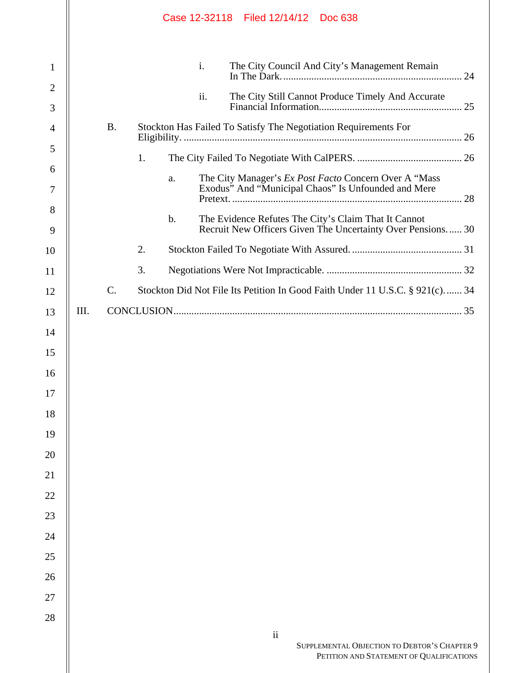|                   |      |                 |    |       |     | Case 12-32118 Filed 12/14/12 Doc 638                                                                                |    |                                                                                          |  |  |
|-------------------|------|-----------------|----|-------|-----|---------------------------------------------------------------------------------------------------------------------|----|------------------------------------------------------------------------------------------|--|--|
| $\mathbf{1}$      |      |                 |    |       | i.  | The City Council And City's Management Remain                                                                       |    |                                                                                          |  |  |
| $\mathbf{2}$<br>3 |      |                 |    |       | ii. | The City Still Cannot Produce Timely And Accurate                                                                   |    |                                                                                          |  |  |
| $\overline{4}$    |      | <b>B.</b>       |    |       |     | Stockton Has Failed To Satisfy The Negotiation Requirements For                                                     |    |                                                                                          |  |  |
| 5                 |      |                 |    |       |     |                                                                                                                     |    |                                                                                          |  |  |
| 6                 |      |                 | 1. |       |     |                                                                                                                     |    |                                                                                          |  |  |
| 7                 |      |                 |    | a.    |     | The City Manager's Ex Post Facto Concern Over A "Mass"<br>Exodus" And "Municipal Chaos" Is Unfounded and Mere       |    |                                                                                          |  |  |
| 8<br>9            |      |                 |    | $b$ . |     | The Evidence Refutes The City's Claim That It Cannot<br>Recruit New Officers Given The Uncertainty Over Pensions 30 |    |                                                                                          |  |  |
| 10                |      |                 | 2. |       |     |                                                                                                                     |    |                                                                                          |  |  |
| 11                |      |                 | 3. |       |     |                                                                                                                     |    |                                                                                          |  |  |
| 12                |      | $\mathcal{C}$ . |    |       |     | Stockton Did Not File Its Petition In Good Faith Under 11 U.S.C. § 921(c) 34                                        |    |                                                                                          |  |  |
| 13                | III. |                 |    |       |     |                                                                                                                     |    |                                                                                          |  |  |
| 14                |      |                 |    |       |     |                                                                                                                     |    |                                                                                          |  |  |
| 15                |      |                 |    |       |     |                                                                                                                     |    |                                                                                          |  |  |
| 16                |      |                 |    |       |     |                                                                                                                     |    |                                                                                          |  |  |
| 17                |      |                 |    |       |     |                                                                                                                     |    |                                                                                          |  |  |
| 18                |      |                 |    |       |     |                                                                                                                     |    |                                                                                          |  |  |
| 19                |      |                 |    |       |     |                                                                                                                     |    |                                                                                          |  |  |
| 20                |      |                 |    |       |     |                                                                                                                     |    |                                                                                          |  |  |
| 21                |      |                 |    |       |     |                                                                                                                     |    |                                                                                          |  |  |
| 22                |      |                 |    |       |     |                                                                                                                     |    |                                                                                          |  |  |
| 23                |      |                 |    |       |     |                                                                                                                     |    |                                                                                          |  |  |
| 24                |      |                 |    |       |     |                                                                                                                     |    |                                                                                          |  |  |
| 25                |      |                 |    |       |     |                                                                                                                     |    |                                                                                          |  |  |
| 26                |      |                 |    |       |     |                                                                                                                     |    |                                                                                          |  |  |
| 27                |      |                 |    |       |     |                                                                                                                     |    |                                                                                          |  |  |
| 28                |      |                 |    |       |     |                                                                                                                     |    |                                                                                          |  |  |
|                   |      |                 |    |       |     |                                                                                                                     | ii | SUPPLEMENTAL OBJECTION TO DEBTOR'S CHAPTER 9<br>PETITION AND STATEMENT OF QUALIFICATIONS |  |  |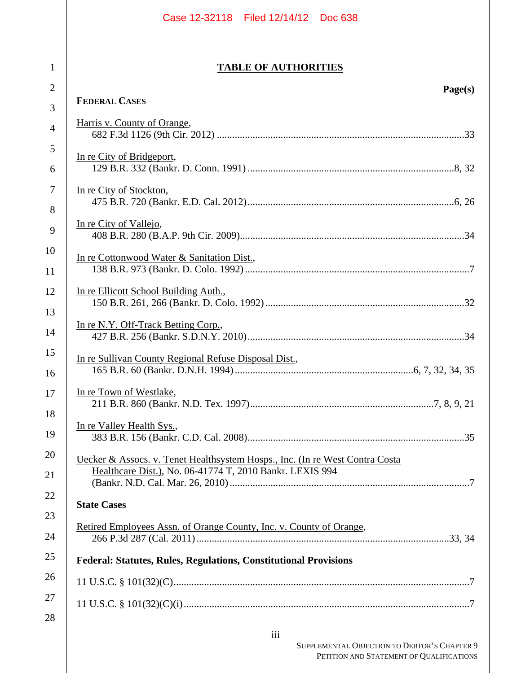|                   | Case 12-32118 Filed 12/14/12 Doc 638                                                                                                     |
|-------------------|------------------------------------------------------------------------------------------------------------------------------------------|
| $\mathbf{1}$      | <b>TABLE OF AUTHORITIES</b>                                                                                                              |
| $\mathbf{2}$<br>3 | Page(s)<br><b>FEDERAL CASES</b>                                                                                                          |
| $\overline{4}$    | Harris v. County of Orange,                                                                                                              |
| $\mathfrak{S}$    |                                                                                                                                          |
| 6                 | In re City of Bridgeport,                                                                                                                |
| $\boldsymbol{7}$  | In re City of Stockton,                                                                                                                  |
| 8                 |                                                                                                                                          |
| 9                 | In re City of Vallejo,                                                                                                                   |
| 10                | In re Cottonwood Water & Sanitation Dist.,                                                                                               |
| 11                |                                                                                                                                          |
| 12                | In re Ellicott School Building Auth.,                                                                                                    |
| 13                | In re N.Y. Off-Track Betting Corp.,                                                                                                      |
| 14                |                                                                                                                                          |
| 15                | In re Sullivan County Regional Refuse Disposal Dist.,                                                                                    |
| 16<br>17          | In re Town of Westlake,                                                                                                                  |
| 18                |                                                                                                                                          |
| 19                | In re Valley Health Sys.,                                                                                                                |
| 20                |                                                                                                                                          |
| 21                | Uecker & Assocs. v. Tenet Healthsystem Hosps., Inc. (In re West Contra Costa<br>Healthcare Dist.), No. 06-41774 T, 2010 Bankr. LEXIS 994 |
| 22                |                                                                                                                                          |
| 23                | <b>State Cases</b>                                                                                                                       |
| 24                | Retired Employees Assn. of Orange County, Inc. v. County of Orange,                                                                      |
| 25                | <b>Federal: Statutes, Rules, Regulations, Constitutional Provisions</b>                                                                  |
| 26                |                                                                                                                                          |
| 27                |                                                                                                                                          |
| 28                | iii                                                                                                                                      |
|                   |                                                                                                                                          |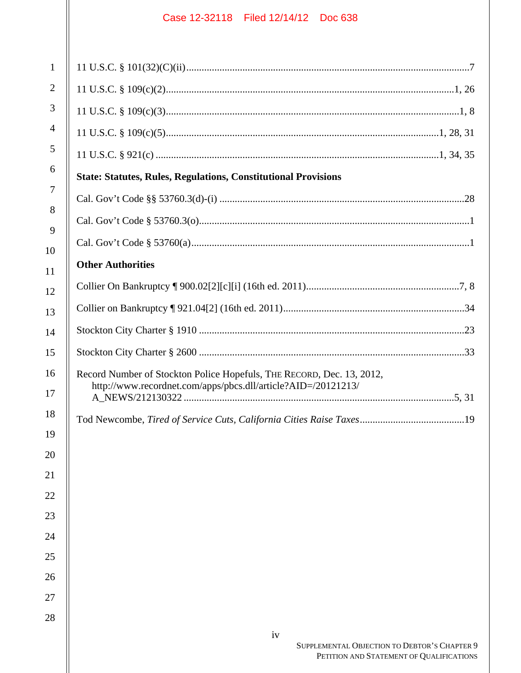| $\mathbf{1}$   |                                                          |
|----------------|----------------------------------------------------------|
| $\mathbf{2}$   |                                                          |
| 3              |                                                          |
| $\overline{4}$ |                                                          |
| 5              |                                                          |
| 6              | <b>State: Statutes, Rules, Regulations, Constitution</b> |
| 7              |                                                          |
| 8              |                                                          |
| 9              |                                                          |
| 10             | <b>Other Authorities</b>                                 |
| 11<br>12       | Collier On Bankruptcy [900.02[2][c][i] (16th ed.         |
| 13             | Collier on Bankruptcy [921.04[2] (16th ed. 2011)         |
| 14             |                                                          |
| 15             |                                                          |
| 16             | Record Number of Stockton Police Hopefuls, THE           |
| 17             | http://www.recordnet.com/apps/pbcs.dll/article           |
| 18             | Tod Newcombe, Tired of Service Cuts, California          |
| 19             |                                                          |
| 20             |                                                          |
| 21             |                                                          |
| 22             |                                                          |
| 23             |                                                          |
| 24             |                                                          |
| 25             |                                                          |
| 26             |                                                          |
| 27             |                                                          |
| 28             |                                                          |
|                | iv                                                       |

| <b>State: Statutes, Rules, Regulations, Constitutional Provisions</b>                                                                  |
|----------------------------------------------------------------------------------------------------------------------------------------|
|                                                                                                                                        |
|                                                                                                                                        |
|                                                                                                                                        |
| <b>Other Authorities</b>                                                                                                               |
|                                                                                                                                        |
|                                                                                                                                        |
|                                                                                                                                        |
|                                                                                                                                        |
| Record Number of Stockton Police Hopefuls, THE RECORD, Dec. 13, 2012,<br>http://www.recordnet.com/apps/pbcs.dll/article?AID=/20121213/ |
|                                                                                                                                        |
|                                                                                                                                        |
|                                                                                                                                        |
|                                                                                                                                        |
|                                                                                                                                        |
|                                                                                                                                        |
|                                                                                                                                        |
|                                                                                                                                        |
|                                                                                                                                        |
|                                                                                                                                        |
|                                                                                                                                        |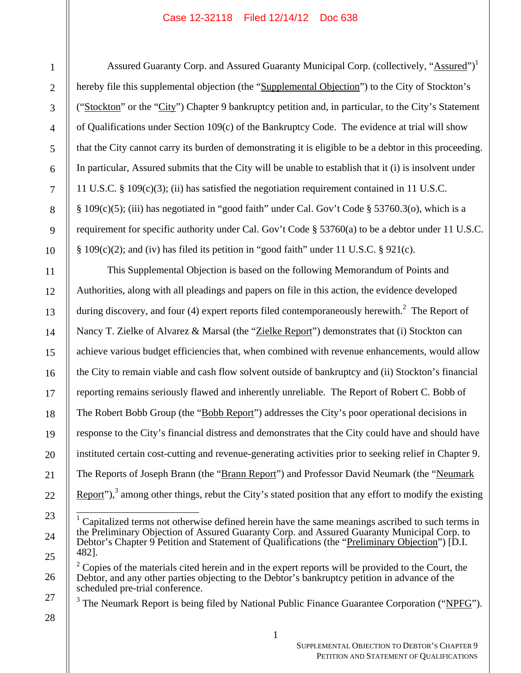Assured Guaranty Corp. and Assured Guaranty Municipal Corp. (collectively, "Assured")<sup>1</sup> hereby file this supplemental objection (the "Supplemental Objection") to the City of Stockton's ("Stockton" or the "City") Chapter 9 bankruptcy petition and, in particular, to the City's Statement of Qualifications under Section 109(c) of the Bankruptcy Code. The evidence at trial will show that the City cannot carry its burden of demonstrating it is eligible to be a debtor in this proceeding. In particular, Assured submits that the City will be unable to establish that it (i) is insolvent under 11 U.S.C. § 109(c)(3); (ii) has satisfied the negotiation requirement contained in 11 U.S.C. § 109(c)(5); (iii) has negotiated in "good faith" under Cal. Gov't Code § 53760.3(o), which is a requirement for specific authority under Cal. Gov't Code  $\S$  53760(a) to be a debtor under 11 U.S.C.  $§ 109(c)(2);$  and (iv) has filed its petition in "good faith" under 11 U.S.C. § 921(c).

This Supplemental Objection is based on the following Memorandum of Points and Authorities, along with all pleadings and papers on file in this action, the evidence developed during discovery, and four (4) expert reports filed contemporaneously herewith.<sup>2</sup> The Report of Nancy T. Zielke of Alvarez & Marsal (the "Zielke Report") demonstrates that (i) Stockton can achieve various budget efficiencies that, when combined with revenue enhancements, would allow the City to remain viable and cash flow solvent outside of bankruptcy and (ii) Stockton's financial reporting remains seriously flawed and inherently unreliable. The Report of Robert C. Bobb of The Robert Bobb Group (the "Bobb Report") addresses the City's poor operational decisions in response to the City's financial distress and demonstrates that the City could have and should have instituted certain cost-cutting and revenue-generating activities prior to seeking relief in Chapter 9. The Reports of Joseph Brann (the "Brann Report") and Professor David Neumark (the "Neumark Report"),<sup>3</sup> among other things, rebut the City's stated position that any effort to modify the existing

<sup>3</sup> The Neumark Report is being filed by National Public Finance Guarantee Corporation ("NPFG").

<sup>&</sup>lt;sup>1</sup> Capitalized terms not otherwise defined herein have the same meanings ascribed to such terms in the Preliminary Objection of Assured Guaranty Corp. and Assured Guaranty Municipal Corp. to Debtor's Chapter 9 Petition and Statement of Qualifications (the "Preliminary Objection") [D.I. 482].

 $2^2$  Copies of the materials cited herein and in the expert reports will be provided to the Court, the Debtor, and any other parties objecting to the Debtor's bankruptcy petition in advance of the scheduled pre-trial conference.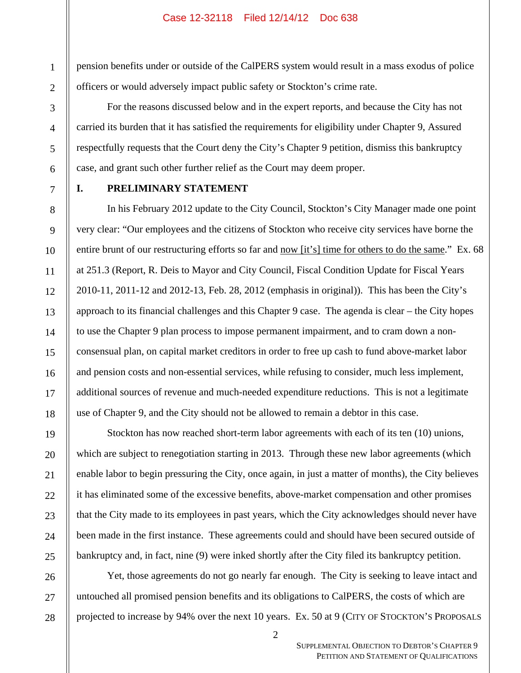pension benefits under or outside of the CalPERS system would result in a mass exodus of police officers or would adversely impact public safety or Stockton's crime rate.

For the reasons discussed below and in the expert reports, and because the City has not carried its burden that it has satisfied the requirements for eligibility under Chapter 9, Assured respectfully requests that the Court deny the City's Chapter 9 petition, dismiss this bankruptcy case, and grant such other further relief as the Court may deem proper.

# **I. PRELIMINARY STATEMENT**

In his February 2012 update to the City Council, Stockton's City Manager made one point very clear: "Our employees and the citizens of Stockton who receive city services have borne the entire brunt of our restructuring efforts so far and now [it's] time for others to do the same." Ex. 68 at 251.3 (Report, R. Deis to Mayor and City Council, Fiscal Condition Update for Fiscal Years 2010-11, 2011-12 and 2012-13, Feb. 28, 2012 (emphasis in original)). This has been the City's approach to its financial challenges and this Chapter 9 case. The agenda is clear – the City hopes to use the Chapter 9 plan process to impose permanent impairment, and to cram down a nonconsensual plan, on capital market creditors in order to free up cash to fund above-market labor and pension costs and non-essential services, while refusing to consider, much less implement, additional sources of revenue and much-needed expenditure reductions. This is not a legitimate use of Chapter 9, and the City should not be allowed to remain a debtor in this case.

Stockton has now reached short-term labor agreements with each of its ten (10) unions, which are subject to renegotiation starting in 2013. Through these new labor agreements (which enable labor to begin pressuring the City, once again, in just a matter of months), the City believes it has eliminated some of the excessive benefits, above-market compensation and other promises that the City made to its employees in past years, which the City acknowledges should never have been made in the first instance. These agreements could and should have been secured outside of bankruptcy and, in fact, nine (9) were inked shortly after the City filed its bankruptcy petition.

Yet, those agreements do not go nearly far enough. The City is seeking to leave intact and untouched all promised pension benefits and its obligations to CalPERS, the costs of which are projected to increase by 94% over the next 10 years. Ex. 50 at 9 (CITY OF STOCKTON'S PROPOSALS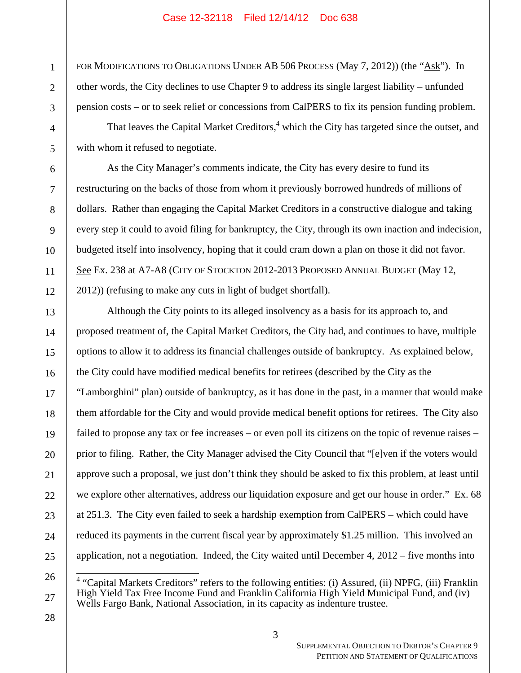FOR MODIFICATIONS TO OBLIGATIONS UNDER AB 506 PROCESS (May 7, 2012)) (the "Ask"). In other words, the City declines to use Chapter 9 to address its single largest liability – unfunded pension costs – or to seek relief or concessions from CalPERS to fix its pension funding problem.

That leaves the Capital Market Creditors,  $4$  which the City has targeted since the outset, and with whom it refused to negotiate.

As the City Manager's comments indicate, the City has every desire to fund its restructuring on the backs of those from whom it previously borrowed hundreds of millions of dollars. Rather than engaging the Capital Market Creditors in a constructive dialogue and taking every step it could to avoid filing for bankruptcy, the City, through its own inaction and indecision, budgeted itself into insolvency, hoping that it could cram down a plan on those it did not favor. See Ex. 238 at A7-A8 (CITY OF STOCKTON 2012-2013 PROPOSED ANNUAL BUDGET (May 12, 2012)) (refusing to make any cuts in light of budget shortfall).

Although the City points to its alleged insolvency as a basis for its approach to, and proposed treatment of, the Capital Market Creditors, the City had, and continues to have, multiple options to allow it to address its financial challenges outside of bankruptcy. As explained below, the City could have modified medical benefits for retirees (described by the City as the "Lamborghini" plan) outside of bankruptcy, as it has done in the past, in a manner that would make them affordable for the City and would provide medical benefit options for retirees. The City also failed to propose any tax or fee increases – or even poll its citizens on the topic of revenue raises – prior to filing. Rather, the City Manager advised the City Council that "[e]ven if the voters would approve such a proposal, we just don't think they should be asked to fix this problem, at least until we explore other alternatives, address our liquidation exposure and get our house in order." Ex. 68 at 251.3. The City even failed to seek a hardship exemption from CalPERS – which could have reduced its payments in the current fiscal year by approximately \$1.25 million. This involved an application, not a negotiation. Indeed, the City waited until December 4, 2012 – five months into

1

2

3

4

5

6

7

8

9

10

11

12

13

14

15

16

17

18

19

20

21

22

SUPPLEMENTAL OBJECTION TO DEBTOR'S CHAPTER 9 PETITION AND STATEMENT OF QUALIFICATIONS

<sup>&</sup>lt;sup>4</sup> "Capital Markets Creditors" refers to the following entities: (i) Assured, (ii) NPFG, (iii) Franklin High Yield Tax Free Income Fund and Franklin California High Yield Municipal Fund, and (iv) Wells Fargo Bank, National Association, in its capacity as indenture trustee.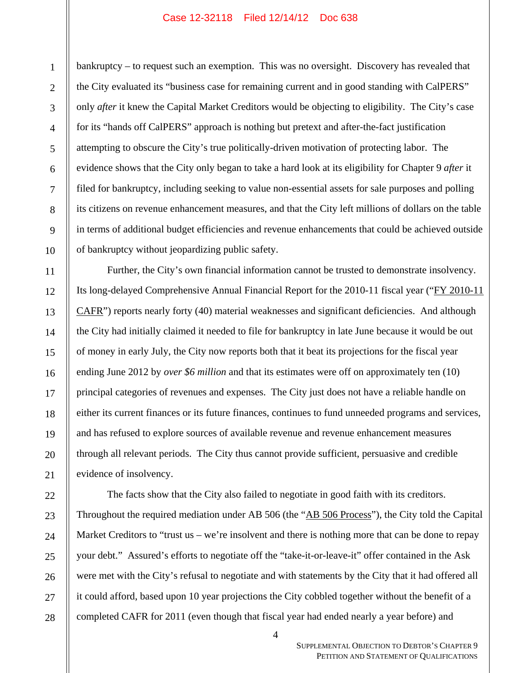bankruptcy – to request such an exemption. This was no oversight. Discovery has revealed that the City evaluated its "business case for remaining current and in good standing with CalPERS" only *after* it knew the Capital Market Creditors would be objecting to eligibility. The City's case for its "hands off CalPERS" approach is nothing but pretext and after-the-fact justification attempting to obscure the City's true politically-driven motivation of protecting labor. The evidence shows that the City only began to take a hard look at its eligibility for Chapter 9 *after* it filed for bankruptcy, including seeking to value non-essential assets for sale purposes and polling its citizens on revenue enhancement measures, and that the City left millions of dollars on the table in terms of additional budget efficiencies and revenue enhancements that could be achieved outside of bankruptcy without jeopardizing public safety.

Further, the City's own financial information cannot be trusted to demonstrate insolvency. Its long-delayed Comprehensive Annual Financial Report for the 2010-11 fiscal year ("FY 2010-11 CAFR") reports nearly forty (40) material weaknesses and significant deficiencies. And although the City had initially claimed it needed to file for bankruptcy in late June because it would be out of money in early July, the City now reports both that it beat its projections for the fiscal year ending June 2012 by *over \$6 million* and that its estimates were off on approximately ten (10) principal categories of revenues and expenses. The City just does not have a reliable handle on either its current finances or its future finances, continues to fund unneeded programs and services, and has refused to explore sources of available revenue and revenue enhancement measures through all relevant periods. The City thus cannot provide sufficient, persuasive and credible evidence of insolvency.

The facts show that the City also failed to negotiate in good faith with its creditors. Throughout the required mediation under AB 506 (the "AB 506 Process"), the City told the Capital Market Creditors to "trust us – we're insolvent and there is nothing more that can be done to repay your debt." Assured's efforts to negotiate off the "take-it-or-leave-it" offer contained in the Ask were met with the City's refusal to negotiate and with statements by the City that it had offered all it could afford, based upon 10 year projections the City cobbled together without the benefit of a completed CAFR for 2011 (even though that fiscal year had ended nearly a year before) and

1

2

3

4

5

6

7

8

9

10

11

12

13

14

15

16

17

18

19

20

21

22

23

24

25

26

27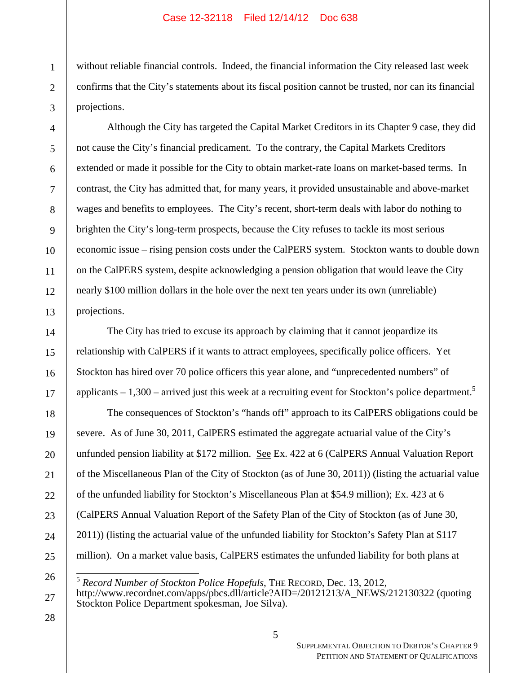without reliable financial controls. Indeed, the financial information the City released last week confirms that the City's statements about its fiscal position cannot be trusted, nor can its financial projections.

Although the City has targeted the Capital Market Creditors in its Chapter 9 case, they did not cause the City's financial predicament. To the contrary, the Capital Markets Creditors extended or made it possible for the City to obtain market-rate loans on market-based terms. In contrast, the City has admitted that, for many years, it provided unsustainable and above-market wages and benefits to employees. The City's recent, short-term deals with labor do nothing to brighten the City's long-term prospects, because the City refuses to tackle its most serious economic issue – rising pension costs under the CalPERS system. Stockton wants to double down on the CalPERS system, despite acknowledging a pension obligation that would leave the City nearly \$100 million dollars in the hole over the next ten years under its own (unreliable) projections.

The City has tried to excuse its approach by claiming that it cannot jeopardize its relationship with CalPERS if it wants to attract employees, specifically police officers. Yet Stockton has hired over 70 police officers this year alone, and "unprecedented numbers" of applicants  $-1,300$  – arrived just this week at a recruiting event for Stockton's police department.<sup>5</sup>

The consequences of Stockton's "hands off" approach to its CalPERS obligations could be severe. As of June 30, 2011, CalPERS estimated the aggregate actuarial value of the City's unfunded pension liability at \$172 million. See Ex. 422 at 6 (CalPERS Annual Valuation Report of the Miscellaneous Plan of the City of Stockton (as of June 30, 2011)) (listing the actuarial value of the unfunded liability for Stockton's Miscellaneous Plan at \$54.9 million); Ex. 423 at 6 (CalPERS Annual Valuation Report of the Safety Plan of the City of Stockton (as of June 30, 2011)) (listing the actuarial value of the unfunded liability for Stockton's Safety Plan at \$117 million). On a market value basis, CalPERS estimates the unfunded liability for both plans at

 $\overline{a}$ <sup>5</sup> *Record Number of Stockton Police Hopefuls*, THE RECORD, Dec. 13, 2012,

28

1

2

3

4

5

6

7

8

9

10

11

12

13

14

15

16

17

18

19

20

21

22

23

24

25

26

http://www.recordnet.com/apps/pbcs.dll/article?AID=/20121213/A\_NEWS/212130322 (quoting Stockton Police Department spokesman, Joe Silva).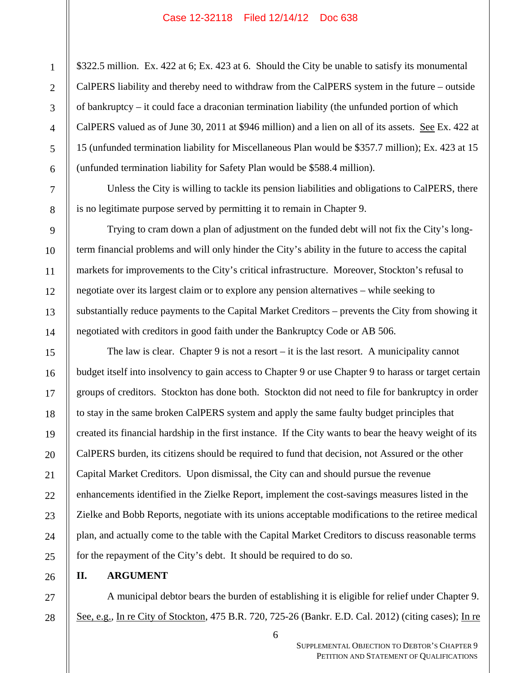\$322.5 million. Ex. 422 at 6; Ex. 423 at 6. Should the City be unable to satisfy its monumental CalPERS liability and thereby need to withdraw from the CalPERS system in the future – outside of bankruptcy – it could face a draconian termination liability (the unfunded portion of which CalPERS valued as of June 30, 2011 at \$946 million) and a lien on all of its assets. See Ex. 422 at 15 (unfunded termination liability for Miscellaneous Plan would be \$357.7 million); Ex. 423 at 15 (unfunded termination liability for Safety Plan would be \$588.4 million).

Unless the City is willing to tackle its pension liabilities and obligations to CalPERS, there is no legitimate purpose served by permitting it to remain in Chapter 9.

Trying to cram down a plan of adjustment on the funded debt will not fix the City's longterm financial problems and will only hinder the City's ability in the future to access the capital markets for improvements to the City's critical infrastructure. Moreover, Stockton's refusal to negotiate over its largest claim or to explore any pension alternatives – while seeking to substantially reduce payments to the Capital Market Creditors – prevents the City from showing it negotiated with creditors in good faith under the Bankruptcy Code or AB 506.

The law is clear. Chapter 9 is not a resort – it is the last resort. A municipality cannot budget itself into insolvency to gain access to Chapter 9 or use Chapter 9 to harass or target certain groups of creditors. Stockton has done both. Stockton did not need to file for bankruptcy in order to stay in the same broken CalPERS system and apply the same faulty budget principles that created its financial hardship in the first instance. If the City wants to bear the heavy weight of its CalPERS burden, its citizens should be required to fund that decision, not Assured or the other Capital Market Creditors. Upon dismissal, the City can and should pursue the revenue enhancements identified in the Zielke Report, implement the cost-savings measures listed in the Zielke and Bobb Reports, negotiate with its unions acceptable modifications to the retiree medical plan, and actually come to the table with the Capital Market Creditors to discuss reasonable terms for the repayment of the City's debt. It should be required to do so.

# **II. ARGUMENT**

A municipal debtor bears the burden of establishing it is eligible for relief under Chapter 9. See, e.g., In re City of Stockton, 475 B.R. 720, 725-26 (Bankr. E.D. Cal. 2012) (citing cases); In re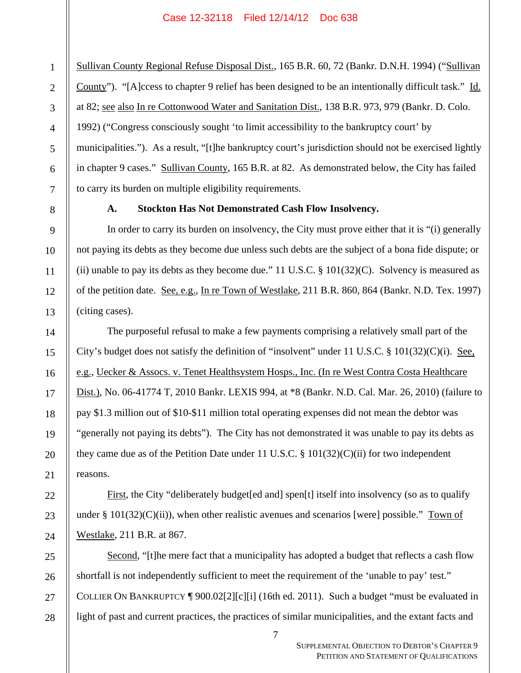Sullivan County Regional Refuse Disposal Dist., 165 B.R. 60, 72 (Bankr. D.N.H. 1994) ("Sullivan County"). "[A]ccess to chapter 9 relief has been designed to be an intentionally difficult task." Id. at 82; see also In re Cottonwood Water and Sanitation Dist., 138 B.R. 973, 979 (Bankr. D. Colo. 1992) ("Congress consciously sought 'to limit accessibility to the bankruptcy court' by municipalities."). As a result, "[t]he bankruptcy court's jurisdiction should not be exercised lightly in chapter 9 cases." Sullivan County, 165 B.R. at 82. As demonstrated below, the City has failed to carry its burden on multiple eligibility requirements.

# **A. Stockton Has Not Demonstrated Cash Flow Insolvency.**

In order to carry its burden on insolvency, the City must prove either that it is "(i) generally not paying its debts as they become due unless such debts are the subject of a bona fide dispute; or (ii) unable to pay its debts as they become due." 11 U.S.C.  $\S$  101(32)(C). Solvency is measured as of the petition date. See, e.g., In re Town of Westlake, 211 B.R. 860, 864 (Bankr. N.D. Tex. 1997) (citing cases).

The purposeful refusal to make a few payments comprising a relatively small part of the City's budget does not satisfy the definition of "insolvent" under 11 U.S.C.  $\S$  101(32)(C)(i). See, e.g., Uecker & Assocs. v. Tenet Healthsystem Hosps., Inc. (In re West Contra Costa Healthcare Dist.), No. 06-41774 T, 2010 Bankr. LEXIS 994, at \*8 (Bankr. N.D. Cal. Mar. 26, 2010) (failure to pay \$1.3 million out of \$10-\$11 million total operating expenses did not mean the debtor was "generally not paying its debts"). The City has not demonstrated it was unable to pay its debts as they came due as of the Petition Date under 11 U.S.C.  $\S$  101(32)(C)(ii) for two independent reasons.

First, the City "deliberately budget [ed and] spen<sup>[t]</sup> itself into insolvency (so as to qualify under § 101(32)(C)(ii)), when other realistic avenues and scenarios [were] possible." Town of Westlake, 211 B.R. at 867.

Second, "[t]he mere fact that a municipality has adopted a budget that reflects a cash flow shortfall is not independently sufficient to meet the requirement of the 'unable to pay' test." COLLIER ON BANKRUPTCY ¶ 900.02[2][c][i] (16th ed. 2011). Such a budget "must be evaluated in light of past and current practices, the practices of similar municipalities, and the extant facts and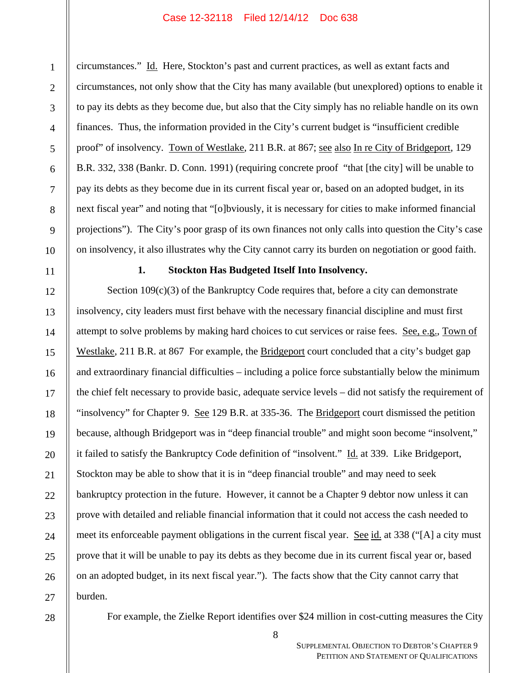circumstances." Id. Here, Stockton's past and current practices, as well as extant facts and circumstances, not only show that the City has many available (but unexplored) options to enable it to pay its debts as they become due, but also that the City simply has no reliable handle on its own finances. Thus, the information provided in the City's current budget is "insufficient credible proof" of insolvency. Town of Westlake, 211 B.R. at 867; see also In re City of Bridgeport, 129 B.R. 332, 338 (Bankr. D. Conn. 1991) (requiring concrete proof "that [the city] will be unable to pay its debts as they become due in its current fiscal year or, based on an adopted budget, in its next fiscal year" and noting that "[o]bviously, it is necessary for cities to make informed financial projections"). The City's poor grasp of its own finances not only calls into question the City's case on insolvency, it also illustrates why the City cannot carry its burden on negotiation or good faith.

# **1. Stockton Has Budgeted Itself Into Insolvency.**

Section  $109(c)(3)$  of the Bankruptcy Code requires that, before a city can demonstrate insolvency, city leaders must first behave with the necessary financial discipline and must first attempt to solve problems by making hard choices to cut services or raise fees. See, e.g., Town of Westlake, 211 B.R. at 867 For example, the Bridgeport court concluded that a city's budget gap and extraordinary financial difficulties – including a police force substantially below the minimum the chief felt necessary to provide basic, adequate service levels – did not satisfy the requirement of "insolvency" for Chapter 9. See 129 B.R. at 335-36. The Bridgeport court dismissed the petition because, although Bridgeport was in "deep financial trouble" and might soon become "insolvent," it failed to satisfy the Bankruptcy Code definition of "insolvent." Id. at 339. Like Bridgeport, Stockton may be able to show that it is in "deep financial trouble" and may need to seek bankruptcy protection in the future. However, it cannot be a Chapter 9 debtor now unless it can prove with detailed and reliable financial information that it could not access the cash needed to meet its enforceable payment obligations in the current fiscal year. See id. at 338 ("[A] a city must prove that it will be unable to pay its debts as they become due in its current fiscal year or, based on an adopted budget, in its next fiscal year."). The facts show that the City cannot carry that burden.

For example, the Zielke Report identifies over \$24 million in cost-cutting measures the City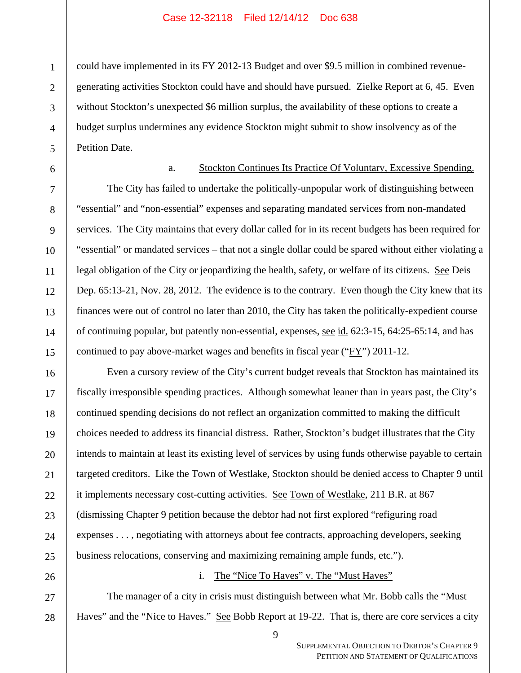could have implemented in its FY 2012-13 Budget and over \$9.5 million in combined revenuegenerating activities Stockton could have and should have pursued. Zielke Report at 6, 45. Even without Stockton's unexpected \$6 million surplus, the availability of these options to create a budget surplus undermines any evidence Stockton might submit to show insolvency as of the Petition Date.

### a. Stockton Continues Its Practice Of Voluntary, Excessive Spending.

The City has failed to undertake the politically-unpopular work of distinguishing between "essential" and "non-essential" expenses and separating mandated services from non-mandated services. The City maintains that every dollar called for in its recent budgets has been required for "essential" or mandated services – that not a single dollar could be spared without either violating a legal obligation of the City or jeopardizing the health, safety, or welfare of its citizens. <u>See</u> Deis Dep. 65:13-21, Nov. 28, 2012. The evidence is to the contrary. Even though the City knew that its finances were out of control no later than 2010, the City has taken the politically-expedient course of continuing popular, but patently non-essential, expenses, <u>see id.</u> 62:3-15, 64:25-65:14, and has continued to pay above-market wages and benefits in fiscal year ("FY") 2011-12.

Even a cursory review of the City's current budget reveals that Stockton has maintained its fiscally irresponsible spending practices. Although somewhat leaner than in years past, the City's continued spending decisions do not reflect an organization committed to making the difficult choices needed to address its financial distress. Rather, Stockton's budget illustrates that the City intends to maintain at least its existing level of services by using funds otherwise payable to certain targeted creditors. Like the Town of Westlake, Stockton should be denied access to Chapter 9 until it implements necessary cost-cutting activities. See Town of Westlake, 211 B.R. at 867 (dismissing Chapter 9 petition because the debtor had not first explored "refiguring road expenses . . . , negotiating with attorneys about fee contracts, approaching developers, seeking business relocations, conserving and maximizing remaining ample funds, etc.").

### i. The "Nice To Haves" v. The "Must Haves"

The manager of a city in crisis must distinguish between what Mr. Bobb calls the "Must Haves" and the "Nice to Haves." See Bobb Report at 19-22. That is, there are core services a city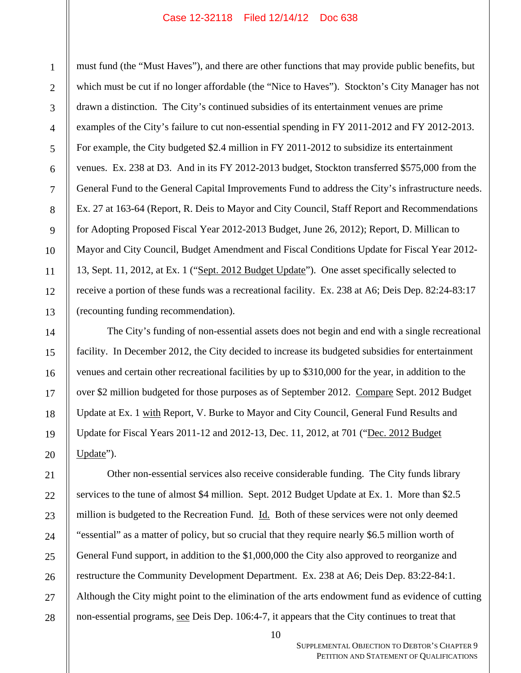must fund (the "Must Haves"), and there are other functions that may provide public benefits, but which must be cut if no longer affordable (the "Nice to Haves"). Stockton's City Manager has not drawn a distinction. The City's continued subsidies of its entertainment venues are prime examples of the City's failure to cut non-essential spending in FY 2011-2012 and FY 2012-2013. For example, the City budgeted \$2.4 million in FY 2011-2012 to subsidize its entertainment venues. Ex. 238 at D3. And in its FY 2012-2013 budget, Stockton transferred \$575,000 from the General Fund to the General Capital Improvements Fund to address the City's infrastructure needs. Ex. 27 at 163-64 (Report, R. Deis to Mayor and City Council, Staff Report and Recommendations for Adopting Proposed Fiscal Year 2012-2013 Budget, June 26, 2012); Report, D. Millican to Mayor and City Council, Budget Amendment and Fiscal Conditions Update for Fiscal Year 2012- 13, Sept. 11, 2012, at Ex. 1 ("Sept. 2012 Budget Update"). One asset specifically selected to receive a portion of these funds was a recreational facility. Ex. 238 at A6; Deis Dep. 82:24-83:17 (recounting funding recommendation).

The City's funding of non-essential assets does not begin and end with a single recreational facility. In December 2012, the City decided to increase its budgeted subsidies for entertainment venues and certain other recreational facilities by up to \$310,000 for the year, in addition to the over \$2 million budgeted for those purposes as of September 2012. Compare Sept. 2012 Budget Update at Ex. 1 with Report, V. Burke to Mayor and City Council, General Fund Results and Update for Fiscal Years 2011-12 and 2012-13, Dec. 11, 2012, at 701 ("Dec. 2012 Budget Update").

Other non-essential services also receive considerable funding. The City funds library services to the tune of almost \$4 million. Sept. 2012 Budget Update at Ex. 1. More than \$2.5 million is budgeted to the Recreation Fund. Id. Both of these services were not only deemed "essential" as a matter of policy, but so crucial that they require nearly \$6.5 million worth of General Fund support, in addition to the \$1,000,000 the City also approved to reorganize and restructure the Community Development Department. Ex. 238 at A6; Deis Dep. 83:22-84:1. Although the City might point to the elimination of the arts endowment fund as evidence of cutting non-essential programs, see Deis Dep. 106:4-7, it appears that the City continues to treat that

28

1

2

3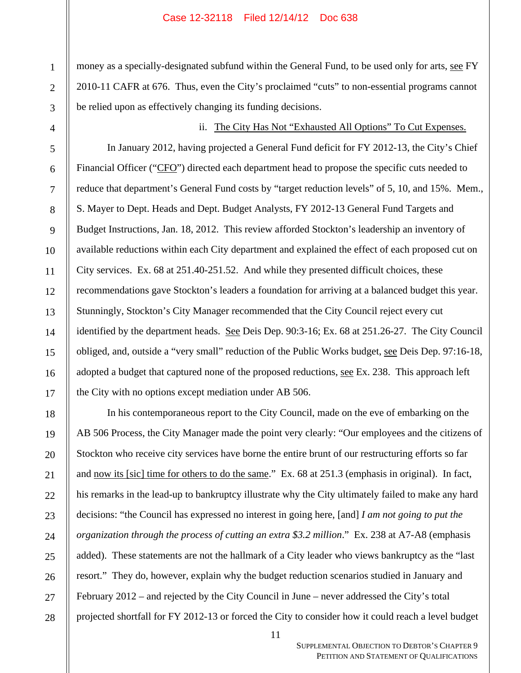money as a specially-designated subfund within the General Fund, to be used only for arts, see FY 2010-11 CAFR at 676. Thus, even the City's proclaimed "cuts" to non-essential programs cannot be relied upon as effectively changing its funding decisions.

ii. The City Has Not "Exhausted All Options" To Cut Expenses. In January 2012, having projected a General Fund deficit for FY 2012-13, the City's Chief Financial Officer ("CFO") directed each department head to propose the specific cuts needed to reduce that department's General Fund costs by "target reduction levels" of 5, 10, and 15%. Mem., S. Mayer to Dept. Heads and Dept. Budget Analysts, FY 2012-13 General Fund Targets and Budget Instructions, Jan. 18, 2012. This review afforded Stockton's leadership an inventory of available reductions within each City department and explained the effect of each proposed cut on City services. Ex. 68 at 251.40-251.52. And while they presented difficult choices, these recommendations gave Stockton's leaders a foundation for arriving at a balanced budget this year. Stunningly, Stockton's City Manager recommended that the City Council reject every cut identified by the department heads. See Deis Dep. 90:3-16; Ex. 68 at 251.26-27. The City Council obliged, and, outside a "very small" reduction of the Public Works budget, see Deis Dep. 97:16-18, adopted a budget that captured none of the proposed reductions, <u>see</u> Ex. 238. This approach left the City with no options except mediation under AB 506.

In his contemporaneous report to the City Council, made on the eve of embarking on the AB 506 Process, the City Manager made the point very clearly: "Our employees and the citizens of Stockton who receive city services have borne the entire brunt of our restructuring efforts so far and now its [sic] time for others to do the same." Ex. 68 at 251.3 (emphasis in original). In fact, his remarks in the lead-up to bankruptcy illustrate why the City ultimately failed to make any hard decisions: "the Council has expressed no interest in going here, [and] *I am not going to put the organization through the process of cutting an extra \$3.2 million*." Ex. 238 at A7-A8 (emphasis added). These statements are not the hallmark of a City leader who views bankruptcy as the "last resort." They do, however, explain why the budget reduction scenarios studied in January and February 2012 – and rejected by the City Council in June – never addressed the City's total projected shortfall for FY 2012-13 or forced the City to consider how it could reach a level budget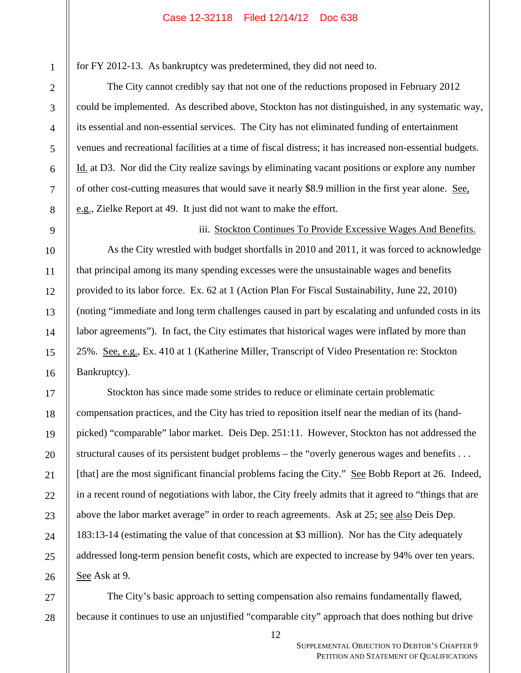for FY 2012-13. As bankruptcy was predetermined, they did not need to.

The City cannot credibly say that not one of the reductions proposed in February 2012 could be implemented. As described above, Stockton has not distinguished, in any systematic way, its essential and non-essential services. The City has not eliminated funding of entertainment venues and recreational facilities at a time of fiscal distress; it has increased non-essential budgets. Id. at D3. Nor did the City realize savings by eliminating vacant positions or explore any number of other cost-cutting measures that would save it nearly \$8.9 million in the first year alone. See, e.g., Zielke Report at 49. It just did not want to make the effort.

iii. Stockton Continues To Provide Excessive Wages And Benefits.

As the City wrestled with budget shortfalls in 2010 and 2011, it was forced to acknowledge that principal among its many spending excesses were the unsustainable wages and benefits provided to its labor force. Ex. 62 at 1 (Action Plan For Fiscal Sustainability, June 22, 2010) (noting "immediate and long term challenges caused in part by escalating and unfunded costs in its labor agreements"). In fact, the City estimates that historical wages were inflated by more than 25%. See, e.g., Ex. 410 at 1 (Katherine Miller, Transcript of Video Presentation re: Stockton Bankruptcy).

Stockton has since made some strides to reduce or eliminate certain problematic compensation practices, and the City has tried to reposition itself near the median of its (handpicked) "comparable" labor market. Deis Dep. 251:11. However, Stockton has not addressed the structural causes of its persistent budget problems – the "overly generous wages and benefits . . . [that] are the most significant financial problems facing the City." See Bobb Report at 26. Indeed, in a recent round of negotiations with labor, the City freely admits that it agreed to "things that are above the labor market average" in order to reach agreements. Ask at 25; see also Deis Dep. 183:13-14 (estimating the value of that concession at \$3 million). Nor has the City adequately addressed long-term pension benefit costs, which are expected to increase by 94% over ten years. See Ask at 9.

28 The City's basic approach to setting compensation also remains fundamentally flawed, because it continues to use an unjustified "comparable city" approach that does nothing but drive

1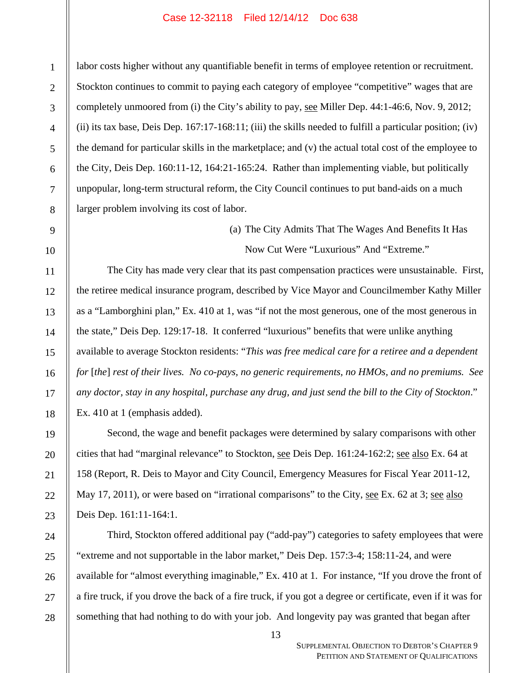labor costs higher without any quantifiable benefit in terms of employee retention or recruitment. Stockton continues to commit to paying each category of employee "competitive" wages that are completely unmoored from (i) the City's ability to pay, see Miller Dep. 44:1-46:6, Nov. 9, 2012; (ii) its tax base, Deis Dep.  $167:17-168:11$ ; (iii) the skills needed to fulfill a particular position; (iv) the demand for particular skills in the marketplace; and (v) the actual total cost of the employee to the City, Deis Dep. 160:11-12, 164:21-165:24. Rather than implementing viable, but politically unpopular, long-term structural reform, the City Council continues to put band-aids on a much larger problem involving its cost of labor.

> (a) The City Admits That The Wages And Benefits It Has Now Cut Were "Luxurious" And "Extreme."

The City has made very clear that its past compensation practices were unsustainable. First, the retiree medical insurance program, described by Vice Mayor and Councilmember Kathy Miller as a "Lamborghini plan," Ex. 410 at 1, was "if not the most generous, one of the most generous in the state," Deis Dep. 129:17-18. It conferred "luxurious" benefits that were unlike anything available to average Stockton residents: "*This was free medical care for a retiree and a dependent for* [*the*] *rest of their lives. No co-pays, no generic requirements, no HMOs, and no premiums. See any doctor, stay in any hospital, purchase any drug, and just send the bill to the City of Stockton*." Ex. 410 at 1 (emphasis added).

Second, the wage and benefit packages were determined by salary comparisons with other cities that had "marginal relevance" to Stockton, see Deis Dep. 161:24-162:2; see also Ex. 64 at 158 (Report, R. Deis to Mayor and City Council, Emergency Measures for Fiscal Year 2011-12, May 17, 2011), or were based on "irrational comparisons" to the City, see Ex. 62 at 3; see also Deis Dep. 161:11-164:1.

Third, Stockton offered additional pay ("add-pay") categories to safety employees that were "extreme and not supportable in the labor market," Deis Dep. 157:3-4; 158:11-24, and were available for "almost everything imaginable," Ex. 410 at 1. For instance, "If you drove the front of a fire truck, if you drove the back of a fire truck, if you got a degree or certificate, even if it was for something that had nothing to do with your job. And longevity pay was granted that began after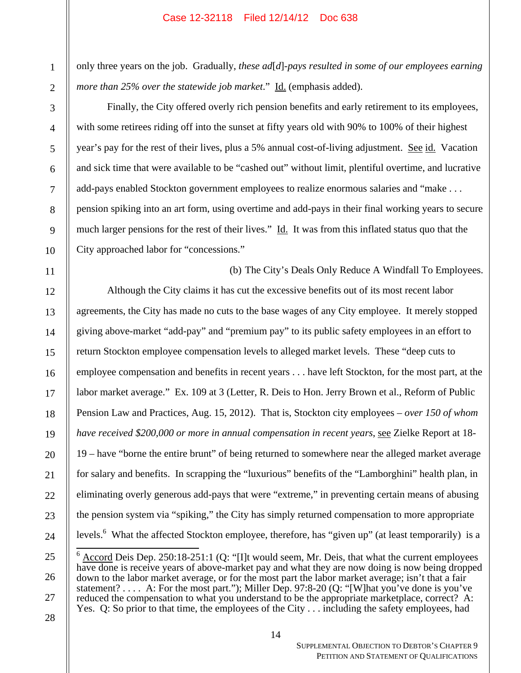only three years on the job. Gradually, *these ad*[*d*]*-pays resulted in some of our employees earning more than 25% over the statewide job market*." Id. (emphasis added).

Finally, the City offered overly rich pension benefits and early retirement to its employees, with some retirees riding off into the sunset at fifty years old with 90% to 100% of their highest year's pay for the rest of their lives, plus a 5% annual cost-of-living adjustment. See id. Vacation and sick time that were available to be "cashed out" without limit, plentiful overtime, and lucrative add-pays enabled Stockton government employees to realize enormous salaries and "make . . . pension spiking into an art form, using overtime and add-pays in their final working years to secure much larger pensions for the rest of their lives." Id. It was from this inflated status quo that the City approached labor for "concessions."

(b) The City's Deals Only Reduce A Windfall To Employees. Although the City claims it has cut the excessive benefits out of its most recent labor agreements, the City has made no cuts to the base wages of any City employee. It merely stopped giving above-market "add-pay" and "premium pay" to its public safety employees in an effort to return Stockton employee compensation levels to alleged market levels. These "deep cuts to employee compensation and benefits in recent years . . . have left Stockton, for the most part, at the labor market average." Ex. 109 at 3 (Letter, R. Deis to Hon. Jerry Brown et al., Reform of Public Pension Law and Practices, Aug. 15, 2012). That is, Stockton city employees – *over 150 of whom have received \$200,000 or more in annual compensation in recent years*, see Zielke Report at 18- 19 – have "borne the entire brunt" of being returned to somewhere near the alleged market average for salary and benefits. In scrapping the "luxurious" benefits of the "Lamborghini" health plan, in eliminating overly generous add-pays that were "extreme," in preventing certain means of abusing the pension system via "spiking," the City has simply returned compensation to more appropriate levels.<sup>6</sup> What the affected Stockton employee, therefore, has "given up" (at least temporarily) is a

 $\frac{6}{\sqrt{6}}$  Accord Deis Dep. 250:18-251:1 (Q: "[I]t would seem, Mr. Deis, that what the current employees have done is receive years of above-market pay and what they are now doing is now being dropped down to the labor market average, or for the most part the labor market average; isn't that a fair statement? . . . . A: For the most part."); Miller Dep. 97:8-20 (Q: "[W]hat you've done is you've reduced the compensation to what you understand to be the appropriate marketplace, correct? A: Yes. Q: So prior to that time, the employees of the City . . . including the safety employees, had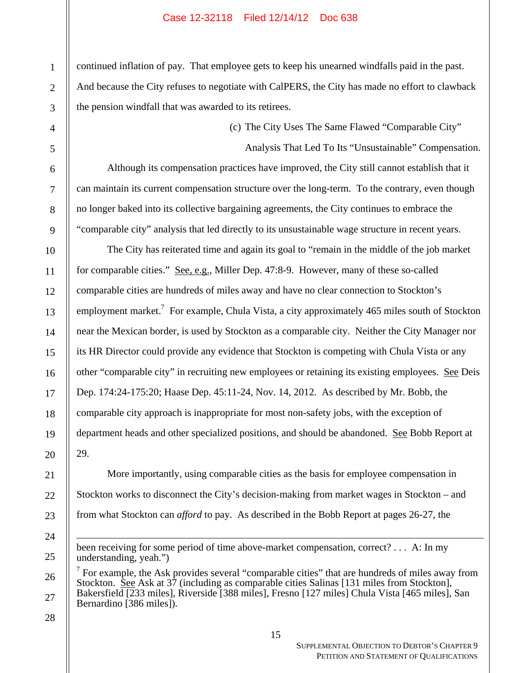continued inflation of pay. That employee gets to keep his unearned windfalls paid in the past. And because the City refuses to negotiate with CalPERS, the City has made no effort to clawback the pension windfall that was awarded to its retirees.

(c) The City Uses The Same Flawed "Comparable City"

Analysis That Led To Its "Unsustainable" Compensation.

Although its compensation practices have improved, the City still cannot establish that it can maintain its current compensation structure over the long-term. To the contrary, even though no longer baked into its collective bargaining agreements, the City continues to embrace the "comparable city" analysis that led directly to its unsustainable wage structure in recent years.

The City has reiterated time and again its goal to "remain in the middle of the job market for comparable cities." See, e.g., Miller Dep. 47:8-9. However, many of these so-called comparable cities are hundreds of miles away and have no clear connection to Stockton's employment market.<sup>7</sup> For example, Chula Vista, a city approximately 465 miles south of Stockton near the Mexican border, is used by Stockton as a comparable city. Neither the City Manager nor its HR Director could provide any evidence that Stockton is competing with Chula Vista or any other "comparable city" in recruiting new employees or retaining its existing employees. See Deis Dep. 174:24-175:20; Haase Dep. 45:11-24, Nov. 14, 2012. As described by Mr. Bobb, the comparable city approach is inappropriate for most non-safety jobs, with the exception of department heads and other specialized positions, and should be abandoned. See Bobb Report at 29.

More importantly, using comparable cities as the basis for employee compensation in Stockton works to disconnect the City's decision-making from market wages in Stockton – and from what Stockton can *afford* to pay. As described in the Bobb Report at pages 26-27, the

 $\overline{a}$ 

1

2

3

4

5

been receiving for some period of time above-market compensation, correct? . . . A: In my understanding, yeah.")

<sup>26</sup>   $<sup>7</sup>$  For example, the Ask provides several "comparable cities" that are hundreds of miles away from</sup> Stockton. See Ask at 37 (including as comparable cities Salinas [131 miles from Stockton], Bakersfield [233 miles], Riverside [388 miles], Fresno [127 miles] Chula Vista [465 miles], San Bernardino [386 miles]).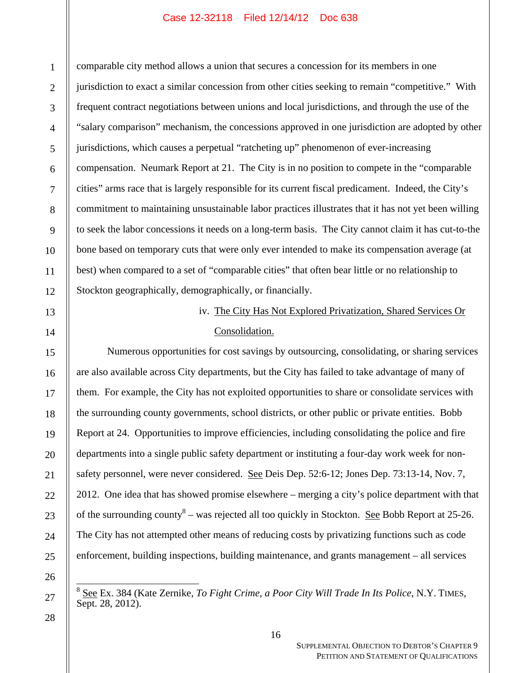comparable city method allows a union that secures a concession for its members in one jurisdiction to exact a similar concession from other cities seeking to remain "competitive." With frequent contract negotiations between unions and local jurisdictions, and through the use of the "salary comparison" mechanism, the concessions approved in one jurisdiction are adopted by other jurisdictions, which causes a perpetual "ratcheting up" phenomenon of ever-increasing compensation. Neumark Report at 21. The City is in no position to compete in the "comparable cities" arms race that is largely responsible for its current fiscal predicament. Indeed, the City's commitment to maintaining unsustainable labor practices illustrates that it has not yet been willing to seek the labor concessions it needs on a long-term basis. The City cannot claim it has cut-to-the bone based on temporary cuts that were only ever intended to make its compensation average (at best) when compared to a set of "comparable cities" that often bear little or no relationship to Stockton geographically, demographically, or financially.

# iv. The City Has Not Explored Privatization, Shared Services Or Consolidation.

Numerous opportunities for cost savings by outsourcing, consolidating, or sharing services are also available across City departments, but the City has failed to take advantage of many of them. For example, the City has not exploited opportunities to share or consolidate services with the surrounding county governments, school districts, or other public or private entities. Bobb Report at 24. Opportunities to improve efficiencies, including consolidating the police and fire departments into a single public safety department or instituting a four-day work week for nonsafety personnel, were never considered. See Deis Dep. 52:6-12; Jones Dep. 73:13-14, Nov. 7, 2012. One idea that has showed promise elsewhere – merging a city's police department with that of the surrounding county<sup>8</sup> – was rejected all too quickly in Stockton. <u>See</u> Bobb Report at 25-26. The City has not attempted other means of reducing costs by privatizing functions such as code enforcement, building inspections, building maintenance, and grants management – all services

 $\frac{1}{2}$ 

<sup>8</sup> See Ex. 384 (Kate Zernike, *To Fight Crime, a Poor City Will Trade In Its Police*, N.Y. TIMES, Sept. 28, 2012).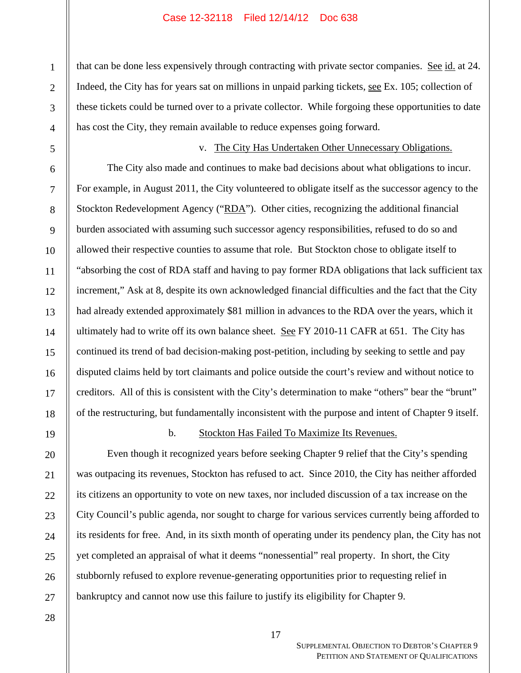that can be done less expensively through contracting with private sector companies. See id. at 24. Indeed, the City has for years sat on millions in unpaid parking tickets, see Ex. 105; collection of these tickets could be turned over to a private collector. While forgoing these opportunities to date has cost the City, they remain available to reduce expenses going forward.

v. The City Has Undertaken Other Unnecessary Obligations. The City also made and continues to make bad decisions about what obligations to incur. For example, in August 2011, the City volunteered to obligate itself as the successor agency to the Stockton Redevelopment Agency ("RDA"). Other cities, recognizing the additional financial burden associated with assuming such successor agency responsibilities, refused to do so and allowed their respective counties to assume that role. But Stockton chose to obligate itself to "absorbing the cost of RDA staff and having to pay former RDA obligations that lack sufficient tax increment," Ask at 8, despite its own acknowledged financial difficulties and the fact that the City had already extended approximately \$81 million in advances to the RDA over the years, which it ultimately had to write off its own balance sheet. See FY 2010-11 CAFR at 651. The City has continued its trend of bad decision-making post-petition, including by seeking to settle and pay disputed claims held by tort claimants and police outside the court's review and without notice to creditors. All of this is consistent with the City's determination to make "others" bear the "brunt" of the restructuring, but fundamentally inconsistent with the purpose and intent of Chapter 9 itself.

19

1

2

3

4

5

6

7

8

9

10

11

12

13

14

15

16

17

18

20

21

22

23

24

25

26

27

# b. Stockton Has Failed To Maximize Its Revenues.

Even though it recognized years before seeking Chapter 9 relief that the City's spending was outpacing its revenues, Stockton has refused to act. Since 2010, the City has neither afforded its citizens an opportunity to vote on new taxes, nor included discussion of a tax increase on the City Council's public agenda, nor sought to charge for various services currently being afforded to its residents for free. And, in its sixth month of operating under its pendency plan, the City has not yet completed an appraisal of what it deems "nonessential" real property. In short, the City stubbornly refused to explore revenue-generating opportunities prior to requesting relief in bankruptcy and cannot now use this failure to justify its eligibility for Chapter 9.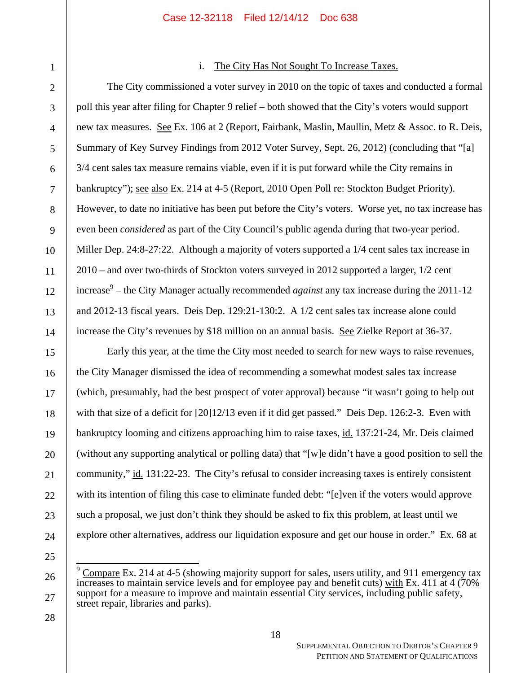| 1              |
|----------------|
| $\overline{2}$ |
| 3              |
| $\overline{4}$ |
| 5              |
| 6              |
| $\overline{7}$ |
| 8              |
| 9              |
| 10             |
| 11             |
| 12             |
| 13             |
| 14             |
| 15             |
| 16             |
| 17             |
| 18             |
| 19             |
| 20             |
| 21             |
|                |
|                |
|                |
|                |
| 26             |
|                |
| 2              |

# i. The City Has Not Sought To Increase Taxes.

The City commissioned a voter survey in 2010 on the topic of taxes and conducted a formal poll this year after filing for Chapter 9 relief – both showed that the City's voters would support new tax measures. See Ex. 106 at 2 (Report, Fairbank, Maslin, Maullin, Metz & Assoc. to R. Deis, Summary of Key Survey Findings from 2012 Voter Survey, Sept. 26, 2012) (concluding that "[a] 3/4 cent sales tax measure remains viable, even if it is put forward while the City remains in bankruptcy"); <u>see also</u> Ex. 214 at 4-5 (Report, 2010 Open Poll re: Stockton Budget Priority). However, to date no initiative has been put before the City's voters. Worse yet, no tax increase has even been *considered* as part of the City Council's public agenda during that two-year period. Miller Dep. 24:8-27:22. Although a majority of voters supported a 1/4 cent sales tax increase in 2010 – and over two-thirds of Stockton voters surveyed in 2012 supported a larger, 1/2 cent increase9 – the City Manager actually recommended *against* any tax increase during the 2011-12 and 2012-13 fiscal years. Deis Dep. 129:21-130:2. A 1/2 cent sales tax increase alone could increase the City's revenues by \$18 million on an annual basis. <u>See</u> Zielke Report at 36-37.

Early this year, at the time the City most needed to search for new ways to raise revenues, the City Manager dismissed the idea of recommending a somewhat modest sales tax increase (which, presumably, had the best prospect of voter approval) because "it wasn't going to help out with that size of a deficit for [20]12/13 even if it did get passed." Deis Dep. 126:2-3. Even with bankruptcy looming and citizens approaching him to raise taxes, id. 137:21-24, Mr. Deis claimed (without any supporting analytical or polling data) that "[w]e didn't have a good position to sell the community," id. 131:22-23. The City's refusal to consider increasing taxes is entirely consistent with its intention of filing this case to eliminate funded debt: "[e]ven if the voters would approve such a proposal, we just don't think they should be asked to fix this problem, at least until we explore other alternatives, address our liquidation exposure and get our house in order." Ex. 68 at

 $\frac{1}{2}$  $9 \text{ Compare Ex. 214 at 4-5 (showing majority support for sales, users utility, and 911 emergency tax.}$ increases to maintain service levels and for employee pay and benefit cuts) with Ex. 411 at 4 (70% support for a measure to improve and maintain essential City services, including public safety, street repair, libraries and parks).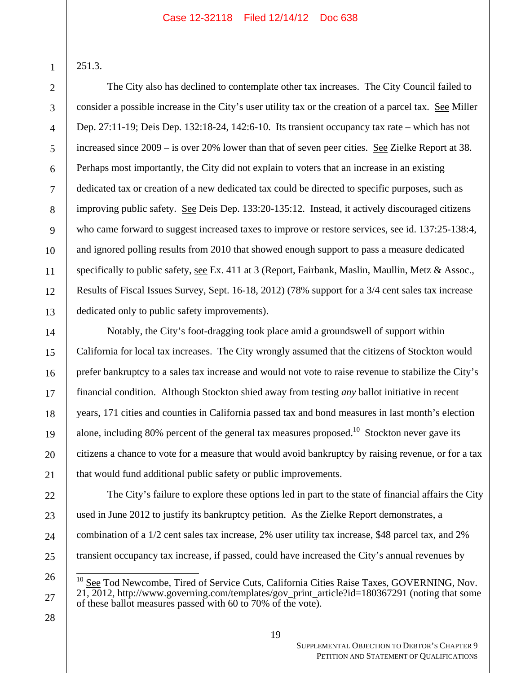251.3.

1

2

3

4

5

6

7

8

9

10

11

12

13

14

15

16

17

18

19

20

21

22

23

24

25

The City also has declined to contemplate other tax increases. The City Council failed to consider a possible increase in the City's user utility tax or the creation of a parcel tax. See Miller Dep. 27:11-19; Deis Dep. 132:18-24, 142:6-10. Its transient occupancy tax rate – which has not increased since 2009 – is over 20% lower than that of seven peer cities. See Zielke Report at 38. Perhaps most importantly, the City did not explain to voters that an increase in an existing dedicated tax or creation of a new dedicated tax could be directed to specific purposes, such as improving public safety. See Deis Dep. 133:20-135:12. Instead, it actively discouraged citizens who came forward to suggest increased taxes to improve or restore services, see id. 137:25-138:4, and ignored polling results from 2010 that showed enough support to pass a measure dedicated specifically to public safety, see Ex. 411 at 3 (Report, Fairbank, Maslin, Maullin, Metz & Assoc., Results of Fiscal Issues Survey, Sept. 16-18, 2012) (78% support for a 3/4 cent sales tax increase dedicated only to public safety improvements).

Notably, the City's foot-dragging took place amid a groundswell of support within California for local tax increases. The City wrongly assumed that the citizens of Stockton would prefer bankruptcy to a sales tax increase and would not vote to raise revenue to stabilize the City's financial condition. Although Stockton shied away from testing *any* ballot initiative in recent years, 171 cities and counties in California passed tax and bond measures in last month's election alone, including 80% percent of the general tax measures proposed.<sup>10</sup> Stockton never gave its citizens a chance to vote for a measure that would avoid bankruptcy by raising revenue, or for a tax that would fund additional public safety or public improvements.

The City's failure to explore these options led in part to the state of financial affairs the City used in June 2012 to justify its bankruptcy petition. As the Zielke Report demonstrates, a combination of a 1/2 cent sales tax increase, 2% user utility tax increase, \$48 parcel tax, and 2% transient occupancy tax increase, if passed, could have increased the City's annual revenues by

 See Tod Newcombe, Tired of Service Cuts, California Cities Raise Taxes, GOVERNING, Nov. 21, 2012, http://www.governing.com/templates/gov\_print\_article?id=180367291 (noting that some of these ballot measures passed with 60 to 70% of the vote).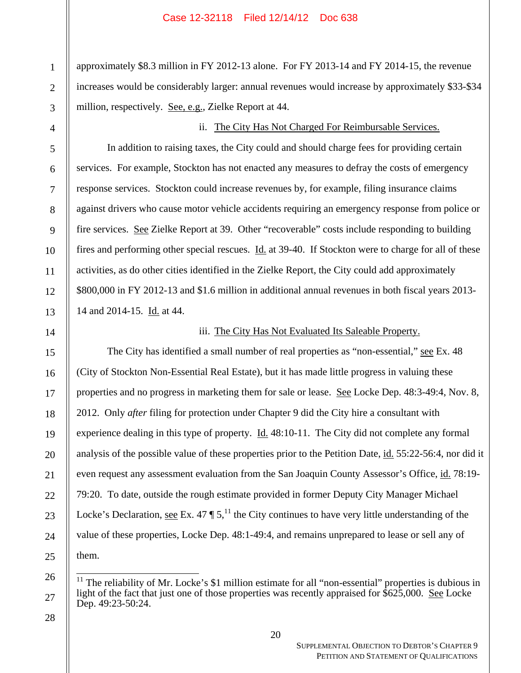approximately \$8.3 million in FY 2012-13 alone. For FY 2013-14 and FY 2014-15, the revenue increases would be considerably larger: annual revenues would increase by approximately \$33-\$34 million, respectively. See, e.g., Zielke Report at 44.

ii. The City Has Not Charged For Reimbursable Services.

In addition to raising taxes, the City could and should charge fees for providing certain services. For example, Stockton has not enacted any measures to defray the costs of emergency response services. Stockton could increase revenues by, for example, filing insurance claims against drivers who cause motor vehicle accidents requiring an emergency response from police or fire services. See Zielke Report at 39. Other "recoverable" costs include responding to building fires and performing other special rescues. Id. at 39-40. If Stockton were to charge for all of these activities, as do other cities identified in the Zielke Report, the City could add approximately \$800,000 in FY 2012-13 and \$1.6 million in additional annual revenues in both fiscal years 2013- 14 and 2014-15. Id. at 44.

iii. The City Has Not Evaluated Its Saleable Property.

The City has identified a small number of real properties as "non-essential," see Ex. 48 (City of Stockton Non-Essential Real Estate), but it has made little progress in valuing these properties and no progress in marketing them for sale or lease. See Locke Dep. 48:3-49:4, Nov. 8, 2012. Only *after* filing for protection under Chapter 9 did the City hire a consultant with experience dealing in this type of property.  $\underline{Id}$ . 48:10-11. The City did not complete any formal analysis of the possible value of these properties prior to the Petition Date, id. 55:22-56:4, nor did it even request any assessment evaluation from the San Joaquin County Assessor's Office, id. 78:19-79:20. To date, outside the rough estimate provided in former Deputy City Manager Michael Locke's Declaration, see Ex. 47  $\P 5$ ,<sup>11</sup>, the City continues to have very little understanding of the value of these properties, Locke Dep. 48:1-49:4, and remains unprepared to lease or sell any of them.

 The reliability of Mr. Locke's \$1 million estimate for all "non-essential" properties is dubious in light of the fact that just one of those properties was recently appraised for  $$625,000$ . See Locke Dep. 49:23-50:24.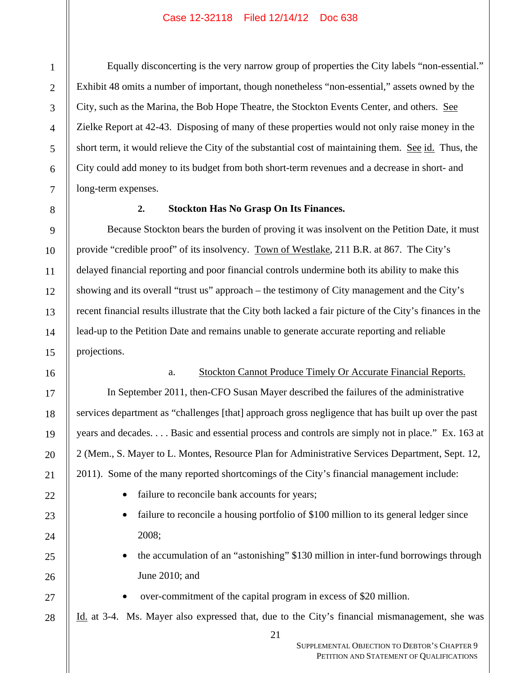Equally disconcerting is the very narrow group of properties the City labels "non-essential." Exhibit 48 omits a number of important, though nonetheless "non-essential," assets owned by the City, such as the Marina, the Bob Hope Theatre, the Stockton Events Center, and others. See Zielke Report at 42-43. Disposing of many of these properties would not only raise money in the short term, it would relieve the City of the substantial cost of maintaining them. <u>See id.</u> Thus, the City could add money to its budget from both short-term revenues and a decrease in short- and long-term expenses.

## **2. Stockton Has No Grasp On Its Finances.**

Because Stockton bears the burden of proving it was insolvent on the Petition Date, it must provide "credible proof" of its insolvency. Town of Westlake, 211 B.R. at 867. The City's delayed financial reporting and poor financial controls undermine both its ability to make this showing and its overall "trust us" approach – the testimony of City management and the City's recent financial results illustrate that the City both lacked a fair picture of the City's finances in the lead-up to the Petition Date and remains unable to generate accurate reporting and reliable projections.

# a. Stockton Cannot Produce Timely Or Accurate Financial Reports.

In September 2011, then-CFO Susan Mayer described the failures of the administrative services department as "challenges [that] approach gross negligence that has built up over the past years and decades. . . . Basic and essential process and controls are simply not in place." Ex. 163 at 2 (Mem., S. Mayer to L. Montes, Resource Plan for Administrative Services Department, Sept. 12, 2011). Some of the many reported shortcomings of the City's financial management include:

- failure to reconcile bank accounts for years;
- failure to reconcile a housing portfolio of \$100 million to its general ledger since 2008;
- the accumulation of an "astonishing" \$130 million in inter-fund borrowings through June 2010; and
	- over-commitment of the capital program in excess of \$20 million.

Id. at 3-4. Ms. Mayer also expressed that, due to the City's financial mismanagement, she was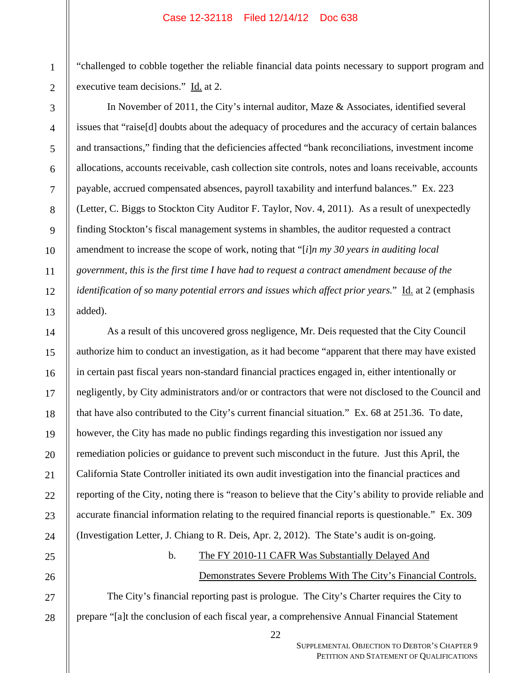"challenged to cobble together the reliable financial data points necessary to support program and executive team decisions." Id. at 2.

In November of 2011, the City's internal auditor, Maze & Associates, identified several issues that "raise[d] doubts about the adequacy of procedures and the accuracy of certain balances and transactions," finding that the deficiencies affected "bank reconciliations, investment income allocations, accounts receivable, cash collection site controls, notes and loans receivable, accounts payable, accrued compensated absences, payroll taxability and interfund balances." Ex. 223 (Letter, C. Biggs to Stockton City Auditor F. Taylor, Nov. 4, 2011). As a result of unexpectedly finding Stockton's fiscal management systems in shambles, the auditor requested a contract amendment to increase the scope of work, noting that "[*i*]*n my 30 years in auditing local government, this is the first time I have had to request a contract amendment because of the identification of so many potential errors and issues which affect prior years.*" Id. at 2 (emphasis added).

As a result of this uncovered gross negligence, Mr. Deis requested that the City Council authorize him to conduct an investigation, as it had become "apparent that there may have existed in certain past fiscal years non-standard financial practices engaged in, either intentionally or negligently, by City administrators and/or or contractors that were not disclosed to the Council and that have also contributed to the City's current financial situation." Ex. 68 at 251.36. To date, however, the City has made no public findings regarding this investigation nor issued any remediation policies or guidance to prevent such misconduct in the future. Just this April, the California State Controller initiated its own audit investigation into the financial practices and reporting of the City, noting there is "reason to believe that the City's ability to provide reliable and accurate financial information relating to the required financial reports is questionable." Ex. 309 (Investigation Letter, J. Chiang to R. Deis, Apr. 2, 2012). The State's audit is on-going.

# b. The FY 2010-11 CAFR Was Substantially Delayed And

# Demonstrates Severe Problems With The City's Financial Controls.

The City's financial reporting past is prologue. The City's Charter requires the City to prepare "[a]t the conclusion of each fiscal year, a comprehensive Annual Financial Statement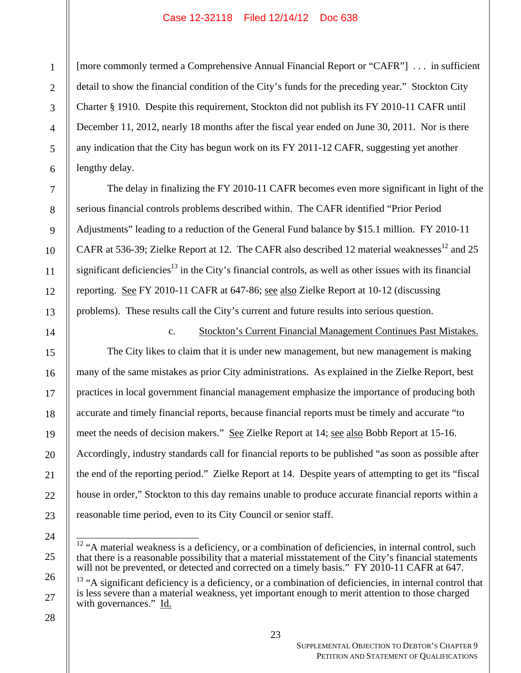[more commonly termed a Comprehensive Annual Financial Report or "CAFR"] . . . in sufficient detail to show the financial condition of the City's funds for the preceding year." Stockton City Charter § 1910. Despite this requirement, Stockton did not publish its FY 2010-11 CAFR until December 11, 2012, nearly 18 months after the fiscal year ended on June 30, 2011. Nor is there any indication that the City has begun work on its FY 2011-12 CAFR, suggesting yet another lengthy delay.

The delay in finalizing the FY 2010-11 CAFR becomes even more significant in light of the serious financial controls problems described within. The CAFR identified "Prior Period Adjustments" leading to a reduction of the General Fund balance by \$15.1 million. FY 2010-11 CAFR at 536-39; Zielke Report at 12. The CAFR also described 12 material weaknesses<sup>12</sup> and 25 significant deficiencies<sup>13</sup> in the City's financial controls, as well as other issues with its financial reporting. See FY 2010-11 CAFR at 647-86; see also Zielke Report at 10-12 (discussing problems). These results call the City's current and future results into serious question.

14 15 16 17 18 19 20 21 22 23 c. Stockton's Current Financial Management Continues Past Mistakes. The City likes to claim that it is under new management, but new management is making many of the same mistakes as prior City administrations. As explained in the Zielke Report, best practices in local government financial management emphasize the importance of producing both accurate and timely financial reports, because financial reports must be timely and accurate "to meet the needs of decision makers." See Zielke Report at 14; see also Bobb Report at 15-16. Accordingly, industry standards call for financial reports to be published "as soon as possible after the end of the reporting period." Zielke Report at 14. Despite years of attempting to get its "fiscal house in order," Stockton to this day remains unable to produce accurate financial reports within a reasonable time period, even to its City Council or senior staff.

  $12$  "A material weakness is a deficiency, or a combination of deficiencies, in internal control, such that there is a reasonable possibility that a material misstatement of the City's financial statements will not be prevented, or detected and corrected on a timely basis." FY 2010-11 CAFR at 647.

26 27

24

25

1

2

3

4

5

6

7

8

9

10

11

12

<sup>&</sup>lt;sup>13</sup> "A significant deficiency is a deficiency, or a combination of deficiencies, in internal control that is less severe than a material weakness, yet important enough to merit attention to those charged with governances." Id.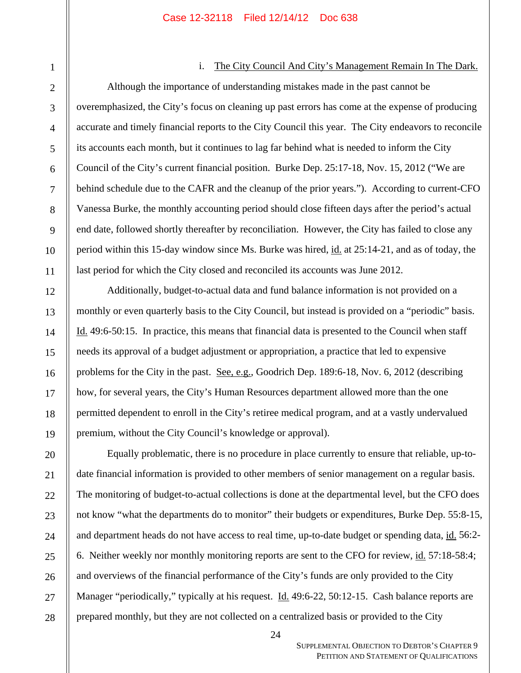### i. The City Council And City's Management Remain In The Dark.

Although the importance of understanding mistakes made in the past cannot be overemphasized, the City's focus on cleaning up past errors has come at the expense of producing accurate and timely financial reports to the City Council this year. The City endeavors to reconcile its accounts each month, but it continues to lag far behind what is needed to inform the City Council of the City's current financial position. Burke Dep. 25:17-18, Nov. 15, 2012 ("We are behind schedule due to the CAFR and the cleanup of the prior years."). According to current-CFO Vanessa Burke, the monthly accounting period should close fifteen days after the period's actual end date, followed shortly thereafter by reconciliation. However, the City has failed to close any period within this 15-day window since Ms. Burke was hired, id. at 25:14-21, and as of today, the last period for which the City closed and reconciled its accounts was June 2012.

Additionally, budget-to-actual data and fund balance information is not provided on a monthly or even quarterly basis to the City Council, but instead is provided on a "periodic" basis. Id. 49:6-50:15. In practice, this means that financial data is presented to the Council when staff needs its approval of a budget adjustment or appropriation, a practice that led to expensive problems for the City in the past. See, e.g., Goodrich Dep.  $189:6-18$ , Nov. 6,  $2012$  (describing how, for several years, the City's Human Resources department allowed more than the one permitted dependent to enroll in the City's retiree medical program, and at a vastly undervalued premium, without the City Council's knowledge or approval).

Equally problematic, there is no procedure in place currently to ensure that reliable, up-todate financial information is provided to other members of senior management on a regular basis. The monitoring of budget-to-actual collections is done at the departmental level, but the CFO does not know "what the departments do to monitor" their budgets or expenditures, Burke Dep. 55:8-15, and department heads do not have access to real time, up-to-date budget or spending data, id. 56:2-6. Neither weekly nor monthly monitoring reports are sent to the CFO for review, id. 57:18-58:4; and overviews of the financial performance of the City's funds are only provided to the City Manager "periodically," typically at his request. <u>Id.</u> 49:6-22, 50:12-15. Cash balance reports are prepared monthly, but they are not collected on a centralized basis or provided to the City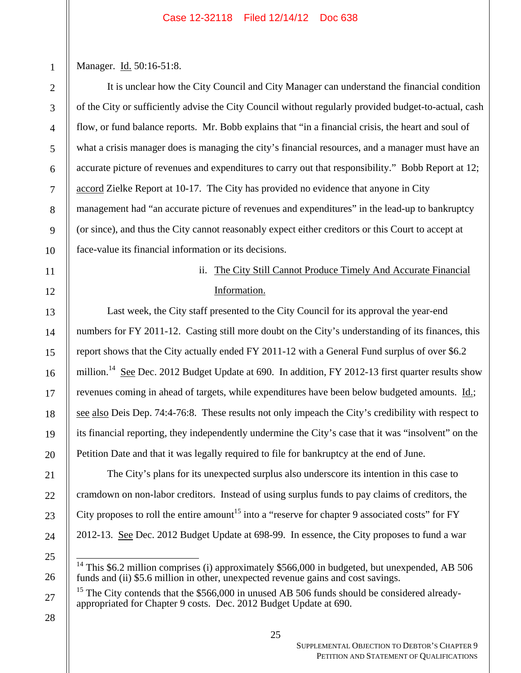Manager. Id. 50:16-51:8.

1

2

3

4

5

6

7

8

9

10

11

12

13

14

15

16

17

18

19

20

21

22

23

24

25

26

27

It is unclear how the City Council and City Manager can understand the financial condition of the City or sufficiently advise the City Council without regularly provided budget-to-actual, cash flow, or fund balance reports. Mr. Bobb explains that "in a financial crisis, the heart and soul of what a crisis manager does is managing the city's financial resources, and a manager must have an accurate picture of revenues and expenditures to carry out that responsibility." Bobb Report at 12; accord Zielke Report at 10-17. The City has provided no evidence that anyone in City management had "an accurate picture of revenues and expenditures" in the lead-up to bankruptcy (or since), and thus the City cannot reasonably expect either creditors or this Court to accept at face-value its financial information or its decisions.

# ii. The City Still Cannot Produce Timely And Accurate Financial Information.

Last week, the City staff presented to the City Council for its approval the year-end numbers for FY 2011-12. Casting still more doubt on the City's understanding of its finances, this report shows that the City actually ended FY 2011-12 with a General Fund surplus of over \$6.2 million.<sup>14</sup> See Dec. 2012 Budget Update at 690. In addition, FY 2012-13 first quarter results show revenues coming in ahead of targets, while expenditures have been below budgeted amounts. Id.; see also Deis Dep. 74:4-76:8. These results not only impeach the City's credibility with respect to its financial reporting, they independently undermine the City's case that it was "insolvent" on the Petition Date and that it was legally required to file for bankruptcy at the end of June.

The City's plans for its unexpected surplus also underscore its intention in this case to cramdown on non-labor creditors. Instead of using surplus funds to pay claims of creditors, the City proposes to roll the entire amount<sup>15</sup> into a "reserve for chapter 9 associated costs" for FY 2012-13. See Dec. 2012 Budget Update at 698-99. In essence, the City proposes to fund a war

 <sup>14</sup> This \$6.2 million comprises (i) approximately \$566,000 in budgeted, but unexpended, AB 506 funds and (ii) \$5.6 million in other, unexpected revenue gains and cost savings.

<sup>&</sup>lt;sup>15</sup> The City contends that the  $$566,000$  in unused AB 506 funds should be considered alreadyappropriated for Chapter 9 costs. Dec. 2012 Budget Update at 690.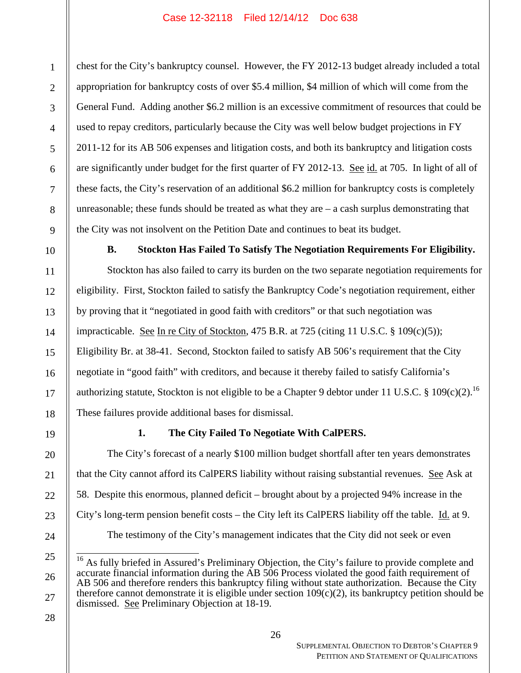chest for the City's bankruptcy counsel. However, the FY 2012-13 budget already included a total appropriation for bankruptcy costs of over \$5.4 million, \$4 million of which will come from the General Fund. Adding another \$6.2 million is an excessive commitment of resources that could be used to repay creditors, particularly because the City was well below budget projections in FY 2011-12 for its AB 506 expenses and litigation costs, and both its bankruptcy and litigation costs are significantly under budget for the first quarter of FY 2012-13. See id. at 705. In light of all of these facts, the City's reservation of an additional \$6.2 million for bankruptcy costs is completely unreasonable; these funds should be treated as what they are  $-$  a cash surplus demonstrating that the City was not insolvent on the Petition Date and continues to beat its budget.

**B. Stockton Has Failed To Satisfy The Negotiation Requirements For Eligibility.** 

Stockton has also failed to carry its burden on the two separate negotiation requirements for eligibility. First, Stockton failed to satisfy the Bankruptcy Code's negotiation requirement, either by proving that it "negotiated in good faith with creditors" or that such negotiation was impracticable. See In re City of Stockton, 475 B.R. at 725 (citing 11 U.S.C.  $\S$  109(c)(5)); Eligibility Br. at 38-41. Second, Stockton failed to satisfy AB 506's requirement that the City negotiate in "good faith" with creditors, and because it thereby failed to satisfy California's authorizing statute, Stockton is not eligible to be a Chapter 9 debtor under 11 U.S.C. § 109(c)(2).<sup>16</sup> These failures provide additional bases for dismissal.

19

1

2

3

4

5

6

7

8

9

10

11

12

13

14

15

16

17

18

20

21

22

23

24

25

26

27

# **1. The City Failed To Negotiate With CalPERS.**

The City's forecast of a nearly \$100 million budget shortfall after ten years demonstrates that the City cannot afford its CalPERS liability without raising substantial revenues. See Ask at 58. Despite this enormous, planned deficit – brought about by a projected 94% increase in the City's long-term pension benefit costs – the City left its CalPERS liability off the table. Id. at 9. The testimony of the City's management indicates that the City did not seek or even

 <sup>16</sup> As fully briefed in Assured's Preliminary Objection, the City's failure to provide complete and accurate financial information during the AB 506 Process violated the good faith requirement of AB 506 and therefore renders this bankruptcy filing without state authorization. Because the City therefore cannot demonstrate it is eligible under section 109(c)(2), its bankruptcy petition should be dismissed. See Preliminary Objection at 18-19.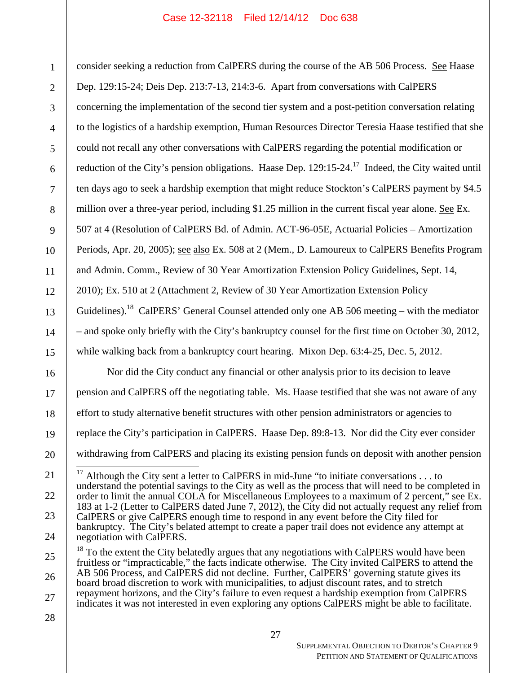consider seeking a reduction from CalPERS during the course of the AB 506 Process. See Haase Dep. 129:15-24; Deis Dep. 213:7-13, 214:3-6. Apart from conversations with CalPERS concerning the implementation of the second tier system and a post-petition conversation relating to the logistics of a hardship exemption, Human Resources Director Teresia Haase testified that she could not recall any other conversations with CalPERS regarding the potential modification or reduction of the City's pension obligations. Haase Dep. 129:15-24.<sup>17</sup> Indeed, the City waited until ten days ago to seek a hardship exemption that might reduce Stockton's CalPERS payment by \$4.5 million over a three-year period, including \$1.25 million in the current fiscal year alone. <u>See</u> Ex. 507 at 4 (Resolution of CalPERS Bd. of Admin. ACT-96-05E, Actuarial Policies – Amortization Periods, Apr. 20, 2005); see also Ex. 508 at 2 (Mem., D. Lamoureux to CalPERS Benefits Program and Admin. Comm., Review of 30 Year Amortization Extension Policy Guidelines, Sept. 14, 2010); Ex. 510 at 2 (Attachment 2, Review of 30 Year Amortization Extension Policy Guidelines).<sup>18</sup> CalPERS' General Counsel attended only one AB 506 meeting – with the mediator – and spoke only briefly with the City's bankruptcy counsel for the first time on October 30, 2012, while walking back from a bankruptcy court hearing. Mixon Dep. 63:4-25, Dec. 5, 2012.

Nor did the City conduct any financial or other analysis prior to its decision to leave pension and CalPERS off the negotiating table. Ms. Haase testified that she was not aware of any effort to study alternative benefit structures with other pension administrators or agencies to replace the City's participation in CalPERS. Haase Dep. 89:8-13. Nor did the City ever consider withdrawing from CalPERS and placing its existing pension funds on deposit with another pension

 $\frac{1}{4}$ <sup>17</sup> Although the City sent a letter to CalPERS in mid-June "to initiate conversations  $\dots$  to understand the potential savings to the City as well as the process that will need to be completed in order to limit the annual COLA for Miscellaneous Employees to a maximum of 2 percent," see Ex. 183 at 1-2 (Letter to CalPERS dated June 7, 2012), the City did not actually request any relief from CalPERS or give CalPERS enough time to respond in any event before the City filed for bankruptcy. The City's belated attempt to create a paper trail does not evidence any attempt at negotiation with CalPERS.

 $18$  To the extent the City belatedly argues that any negotiations with CalPERS would have been fruitless or "impracticable," the facts indicate otherwise. The City invited CalPERS to attend the AB 506 Process, and CalPERS did not decline. Further, CalPERS' governing statute gives its board broad discretion to work with municipalities, to adjust discount rates, and to stretch repayment horizons, and the City's failure to even request a hardship exemption from CalPERS indicates it was not interested in even exploring any options CalPERS might be able to facilitate.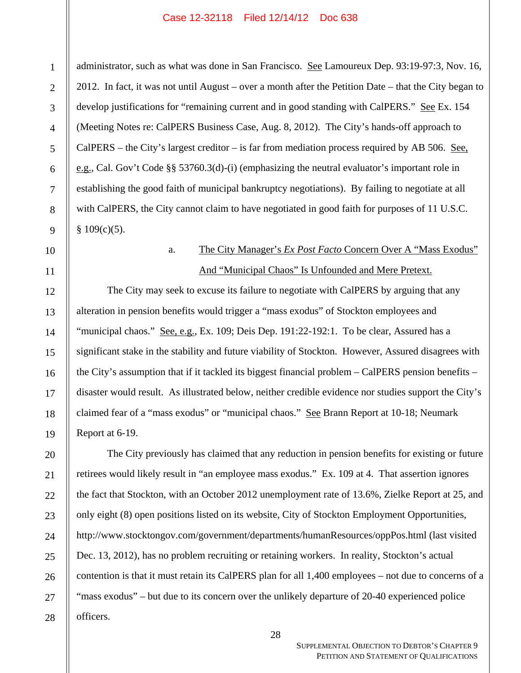administrator, such as what was done in San Francisco. See Lamoureux Dep. 93:19-97:3, Nov. 16, 2012. In fact, it was not until August – over a month after the Petition Date – that the City began to develop justifications for "remaining current and in good standing with CalPERS." See Ex. 154 (Meeting Notes re: CalPERS Business Case, Aug. 8, 2012). The City's hands-off approach to CalPERS – the City's largest creditor – is far from mediation process required by AB 506. See, e.g., Cal. Gov't Code §§ 53760.3(d)-(i) (emphasizing the neutral evaluator's important role in establishing the good faith of municipal bankruptcy negotiations). By failing to negotiate at all with CalPERS, the City cannot claim to have negotiated in good faith for purposes of 11 U.S.C.  $§$  109(c)(5).

# a. The City Manager's *Ex Post Facto* Concern Over A "Mass Exodus" And "Municipal Chaos" Is Unfounded and Mere Pretext.

The City may seek to excuse its failure to negotiate with CalPERS by arguing that any alteration in pension benefits would trigger a "mass exodus" of Stockton employees and "municipal chaos." See, e.g., Ex. 109; Deis Dep. 191:22-192:1. To be clear, Assured has a significant stake in the stability and future viability of Stockton. However, Assured disagrees with the City's assumption that if it tackled its biggest financial problem – CalPERS pension benefits – disaster would result. As illustrated below, neither credible evidence nor studies support the City's claimed fear of a "mass exodus" or "municipal chaos." See Brann Report at 10-18; Neumark Report at 6-19.

The City previously has claimed that any reduction in pension benefits for existing or future retirees would likely result in "an employee mass exodus." Ex. 109 at 4. That assertion ignores the fact that Stockton, with an October 2012 unemployment rate of 13.6%, Zielke Report at 25, and only eight (8) open positions listed on its website, City of Stockton Employment Opportunities, http://www.stocktongov.com/government/departments/humanResources/oppPos.html (last visited Dec. 13, 2012), has no problem recruiting or retaining workers. In reality, Stockton's actual contention is that it must retain its CalPERS plan for all 1,400 employees – not due to concerns of a "mass exodus" – but due to its concern over the unlikely departure of 20-40 experienced police officers.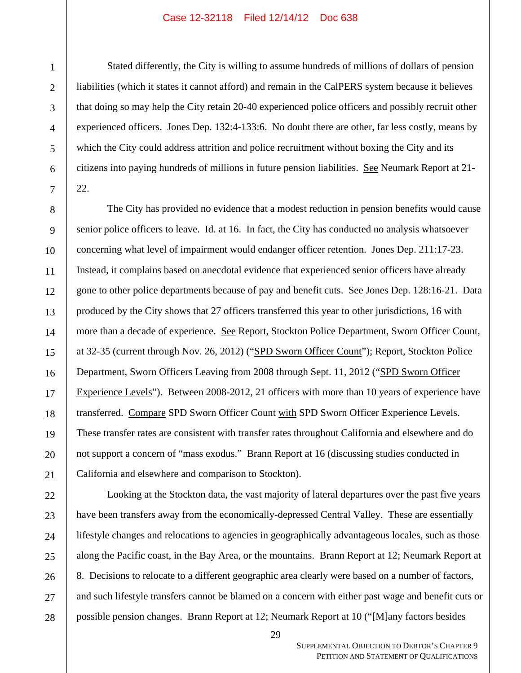Stated differently, the City is willing to assume hundreds of millions of dollars of pension liabilities (which it states it cannot afford) and remain in the CalPERS system because it believes that doing so may help the City retain 20-40 experienced police officers and possibly recruit other experienced officers. Jones Dep. 132:4-133:6. No doubt there are other, far less costly, means by which the City could address attrition and police recruitment without boxing the City and its citizens into paying hundreds of millions in future pension liabilities. See Neumark Report at 21- 22.

The City has provided no evidence that a modest reduction in pension benefits would cause senior police officers to leave.  $\underline{Id}$  at 16. In fact, the City has conducted no analysis whatsoever concerning what level of impairment would endanger officer retention. Jones Dep. 211:17-23. Instead, it complains based on anecdotal evidence that experienced senior officers have already gone to other police departments because of pay and benefit cuts. See Jones Dep. 128:16-21. Data produced by the City shows that 27 officers transferred this year to other jurisdictions, 16 with more than a decade of experience. See Report, Stockton Police Department, Sworn Officer Count, at 32-35 (current through Nov. 26, 2012) ("SPD Sworn Officer Count"); Report, Stockton Police Department, Sworn Officers Leaving from 2008 through Sept. 11, 2012 ("SPD Sworn Officer Experience Levels"). Between 2008-2012, 21 officers with more than 10 years of experience have transferred. Compare SPD Sworn Officer Count with SPD Sworn Officer Experience Levels. These transfer rates are consistent with transfer rates throughout California and elsewhere and do not support a concern of "mass exodus." Brann Report at 16 (discussing studies conducted in California and elsewhere and comparison to Stockton).

Looking at the Stockton data, the vast majority of lateral departures over the past five years have been transfers away from the economically-depressed Central Valley. These are essentially lifestyle changes and relocations to agencies in geographically advantageous locales, such as those along the Pacific coast, in the Bay Area, or the mountains. Brann Report at 12; Neumark Report at 8. Decisions to relocate to a different geographic area clearly were based on a number of factors, and such lifestyle transfers cannot be blamed on a concern with either past wage and benefit cuts or possible pension changes. Brann Report at 12; Neumark Report at 10 ("[M]any factors besides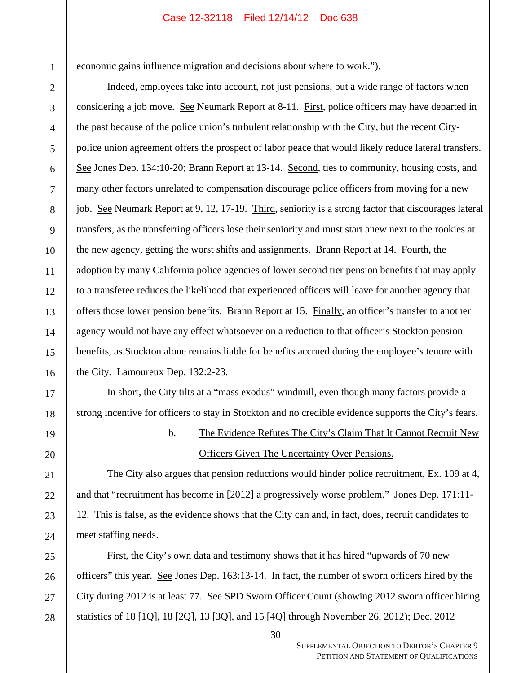economic gains influence migration and decisions about where to work.").

Indeed, employees take into account, not just pensions, but a wide range of factors when considering a job move. See Neumark Report at 8-11. First, police officers may have departed in the past because of the police union's turbulent relationship with the City, but the recent Citypolice union agreement offers the prospect of labor peace that would likely reduce lateral transfers. See Jones Dep. 134:10-20; Brann Report at 13-14. Second, ties to community, housing costs, and many other factors unrelated to compensation discourage police officers from moving for a new job. See Neumark Report at 9, 12, 17-19. Third, seniority is a strong factor that discourages lateral transfers, as the transferring officers lose their seniority and must start anew next to the rookies at the new agency, getting the worst shifts and assignments. Brann Report at 14. Fourth, the adoption by many California police agencies of lower second tier pension benefits that may apply to a transferee reduces the likelihood that experienced officers will leave for another agency that offers those lower pension benefits. Brann Report at 15. Finally, an officer's transfer to another agency would not have any effect whatsoever on a reduction to that officer's Stockton pension benefits, as Stockton alone remains liable for benefits accrued during the employee's tenure with the City. Lamoureux Dep. 132:2-23.

In short, the City tilts at a "mass exodus" windmill, even though many factors provide a strong incentive for officers to stay in Stockton and no credible evidence supports the City's fears.

b. The Evidence Refutes The City's Claim That It Cannot Recruit New Officers Given The Uncertainty Over Pensions.

The City also argues that pension reductions would hinder police recruitment, Ex. 109 at 4, and that "recruitment has become in [2012] a progressively worse problem." Jones Dep. 171:11- 12. This is false, as the evidence shows that the City can and, in fact, does, recruit candidates to meet staffing needs.

First, the City's own data and testimony shows that it has hired "upwards of 70 new officers" this year. See Jones Dep. 163:13-14. In fact, the number of sworn officers hired by the City during 2012 is at least 77. See SPD Sworn Officer Count (showing 2012 sworn officer hiring statistics of 18 [1Q], 18 [2Q], 13 [3Q], and 15 [4Q] through November 26, 2012); Dec. 2012

1

2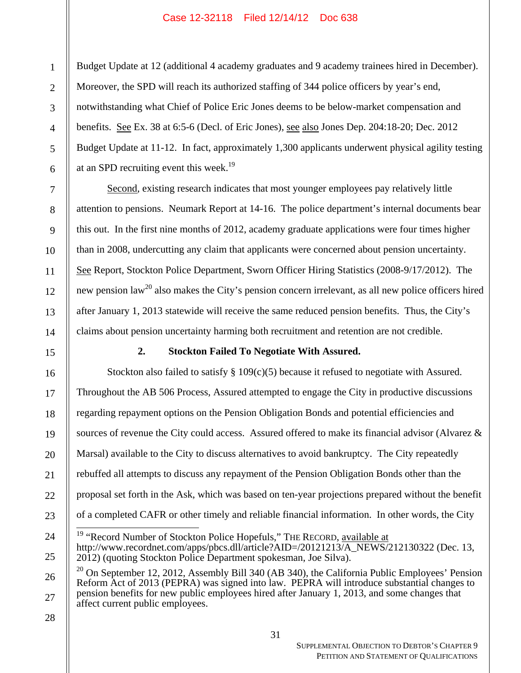Budget Update at 12 (additional 4 academy graduates and 9 academy trainees hired in December). Moreover, the SPD will reach its authorized staffing of 344 police officers by year's end, notwithstanding what Chief of Police Eric Jones deems to be below-market compensation and benefits. See Ex. 38 at 6:5-6 (Decl. of Eric Jones), see also Jones Dep. 204:18-20; Dec. 2012 Budget Update at 11-12. In fact, approximately 1,300 applicants underwent physical agility testing at an SPD recruiting event this week.<sup>19</sup>

Second, existing research indicates that most younger employees pay relatively little attention to pensions. Neumark Report at 14-16. The police department's internal documents bear this out. In the first nine months of 2012, academy graduate applications were four times higher than in 2008, undercutting any claim that applicants were concerned about pension uncertainty. See Report, Stockton Police Department, Sworn Officer Hiring Statistics (2008-9/17/2012). The new pension law<sup>20</sup> also makes the City's pension concern irrelevant, as all new police officers hired after January 1, 2013 statewide will receive the same reduced pension benefits. Thus, the City's claims about pension uncertainty harming both recruitment and retention are not credible.

# **2. Stockton Failed To Negotiate With Assured.**

Stockton also failed to satisfy  $\S 109(c)(5)$  because it refused to negotiate with Assured. Throughout the AB 506 Process, Assured attempted to engage the City in productive discussions regarding repayment options on the Pension Obligation Bonds and potential efficiencies and sources of revenue the City could access. Assured offered to make its financial advisor (Alvarez  $\&$ Marsal) available to the City to discuss alternatives to avoid bankruptcy. The City repeatedly rebuffed all attempts to discuss any repayment of the Pension Obligation Bonds other than the proposal set forth in the Ask, which was based on ten-year projections prepared without the benefit of a completed CAFR or other timely and reliable financial information. In other words, the City  $\frac{1}{4}$ 

28

1

2

3

4

5

6

7

8

9

10

11

12

13

14

15

16

17

18

19

20

21

22

23

24

<sup>&</sup>lt;sup>19</sup> "Record Number of Stockton Police Hopefuls," THE RECORD, available at http://www.recordnet.com/apps/pbcs.dll/article?AID=/20121213/A\_NEWS/212130322 (Dec. 13, 2012) (quoting Stockton Police Department spokesman, Joe Silva).

<sup>26</sup>  27  $20$  On September 12, 2012, Assembly Bill 340 (AB 340), the California Public Employees' Pension Reform Act of 2013 (PEPRA) was signed into law. PEPRA will introduce substantial changes to pension benefits for new public employees hired after January 1, 2013, and some changes that affect current public employees.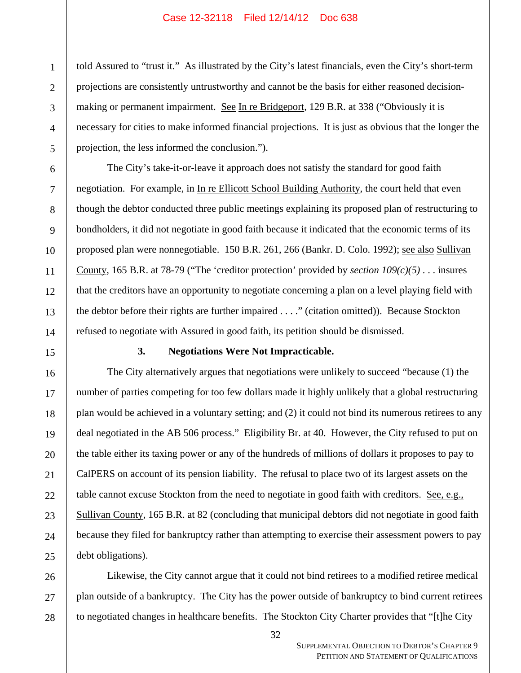told Assured to "trust it." As illustrated by the City's latest financials, even the City's short-term projections are consistently untrustworthy and cannot be the basis for either reasoned decisionmaking or permanent impairment. See In re Bridgeport, 129 B.R. at 338 ("Obviously it is necessary for cities to make informed financial projections. It is just as obvious that the longer the projection, the less informed the conclusion.").

The City's take-it-or-leave it approach does not satisfy the standard for good faith negotiation. For example, in In re Ellicott School Building Authority, the court held that even though the debtor conducted three public meetings explaining its proposed plan of restructuring to bondholders, it did not negotiate in good faith because it indicated that the economic terms of its proposed plan were nonnegotiable. 150 B.R. 261, 266 (Bankr. D. Colo. 1992); see also Sullivan County, 165 B.R. at 78-79 ("The 'creditor protection' provided by *section*  $109(c)(5)$ *...* insures that the creditors have an opportunity to negotiate concerning a plan on a level playing field with the debtor before their rights are further impaired . . . ." (citation omitted)). Because Stockton refused to negotiate with Assured in good faith, its petition should be dismissed.

# **3. Negotiations Were Not Impracticable.**

The City alternatively argues that negotiations were unlikely to succeed "because (1) the number of parties competing for too few dollars made it highly unlikely that a global restructuring plan would be achieved in a voluntary setting; and (2) it could not bind its numerous retirees to any deal negotiated in the AB 506 process." Eligibility Br. at 40. However, the City refused to put on the table either its taxing power or any of the hundreds of millions of dollars it proposes to pay to CalPERS on account of its pension liability. The refusal to place two of its largest assets on the table cannot excuse Stockton from the need to negotiate in good faith with creditors. See, e.g., Sullivan County, 165 B.R. at 82 (concluding that municipal debtors did not negotiate in good faith because they filed for bankruptcy rather than attempting to exercise their assessment powers to pay debt obligations).

Likewise, the City cannot argue that it could not bind retirees to a modified retiree medical plan outside of a bankruptcy. The City has the power outside of bankruptcy to bind current retirees to negotiated changes in healthcare benefits. The Stockton City Charter provides that "[t]he City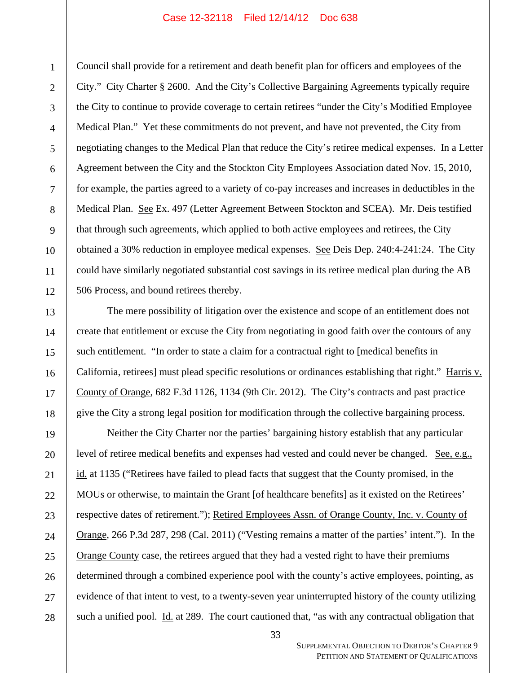Council shall provide for a retirement and death benefit plan for officers and employees of the City." City Charter § 2600. And the City's Collective Bargaining Agreements typically require the City to continue to provide coverage to certain retirees "under the City's Modified Employee Medical Plan." Yet these commitments do not prevent, and have not prevented, the City from negotiating changes to the Medical Plan that reduce the City's retiree medical expenses. In a Letter Agreement between the City and the Stockton City Employees Association dated Nov. 15, 2010, for example, the parties agreed to a variety of co-pay increases and increases in deductibles in the Medical Plan. See Ex. 497 (Letter Agreement Between Stockton and SCEA). Mr. Deis testified that through such agreements, which applied to both active employees and retirees, the City obtained a 30% reduction in employee medical expenses. See Deis Dep. 240:4-241:24. The City could have similarly negotiated substantial cost savings in its retiree medical plan during the AB 506 Process, and bound retirees thereby.

The mere possibility of litigation over the existence and scope of an entitlement does not create that entitlement or excuse the City from negotiating in good faith over the contours of any such entitlement. "In order to state a claim for a contractual right to [medical benefits in California, retirees] must plead specific resolutions or ordinances establishing that right." Harris v. County of Orange, 682 F.3d 1126, 1134 (9th Cir. 2012). The City's contracts and past practice give the City a strong legal position for modification through the collective bargaining process.

Neither the City Charter nor the parties' bargaining history establish that any particular level of retiree medical benefits and expenses had vested and could never be changed. See, e.g., id. at 1135 ("Retirees have failed to plead facts that suggest that the County promised, in the MOUs or otherwise, to maintain the Grant [of healthcare benefits] as it existed on the Retirees' respective dates of retirement."); Retired Employees Assn. of Orange County, Inc. v. County of Orange, 266 P.3d 287, 298 (Cal. 2011) ("Vesting remains a matter of the parties' intent."). In the Orange County case, the retirees argued that they had a vested right to have their premiums determined through a combined experience pool with the county's active employees, pointing, as evidence of that intent to vest, to a twenty-seven year uninterrupted history of the county utilizing such a unified pool. Id. at 289. The court cautioned that, "as with any contractual obligation that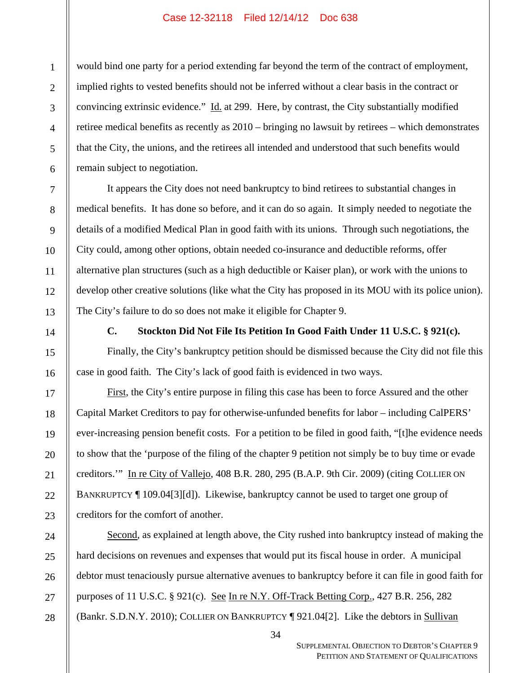would bind one party for a period extending far beyond the term of the contract of employment, implied rights to vested benefits should not be inferred without a clear basis in the contract or convincing extrinsic evidence." Id. at 299. Here, by contrast, the City substantially modified retiree medical benefits as recently as 2010 – bringing no lawsuit by retirees – which demonstrates that the City, the unions, and the retirees all intended and understood that such benefits would remain subject to negotiation.

It appears the City does not need bankruptcy to bind retirees to substantial changes in medical benefits. It has done so before, and it can do so again. It simply needed to negotiate the details of a modified Medical Plan in good faith with its unions. Through such negotiations, the City could, among other options, obtain needed co-insurance and deductible reforms, offer alternative plan structures (such as a high deductible or Kaiser plan), or work with the unions to develop other creative solutions (like what the City has proposed in its MOU with its police union). The City's failure to do so does not make it eligible for Chapter 9.

**C. Stockton Did Not File Its Petition In Good Faith Under 11 U.S.C. § 921(c).** 

Finally, the City's bankruptcy petition should be dismissed because the City did not file this case in good faith. The City's lack of good faith is evidenced in two ways.

First, the City's entire purpose in filing this case has been to force Assured and the other Capital Market Creditors to pay for otherwise-unfunded benefits for labor – including CalPERS' ever-increasing pension benefit costs. For a petition to be filed in good faith, "[t]he evidence needs to show that the 'purpose of the filing of the chapter 9 petition not simply be to buy time or evade creditors.'" In re City of Vallejo, 408 B.R. 280, 295 (B.A.P. 9th Cir. 2009) (citing COLLIER ON BANKRUPTCY ¶ 109.04[3][d]). Likewise, bankruptcy cannot be used to target one group of creditors for the comfort of another.

Second, as explained at length above, the City rushed into bankruptcy instead of making the hard decisions on revenues and expenses that would put its fiscal house in order. A municipal debtor must tenaciously pursue alternative avenues to bankruptcy before it can file in good faith for purposes of 11 U.S.C. § 921(c). See In re N.Y. Off-Track Betting Corp., 427 B.R. 256, 282 (Bankr. S.D.N.Y. 2010); COLLIER ON BANKRUPTCY ¶ 921.04[2]. Like the debtors in Sullivan